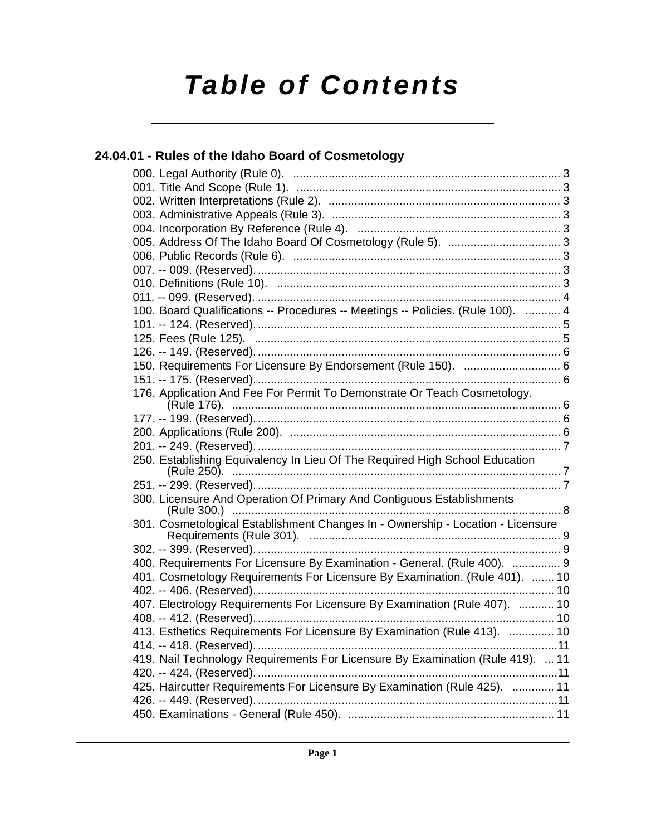# *Table of Contents*

### **[24.04.01 - Rules of the Idaho Board of Cosmetology](#page-2-0)**

| 100. Board Qualifications -- Procedures -- Meetings -- Policies. (Rule 100).  4 |    |
|---------------------------------------------------------------------------------|----|
|                                                                                 |    |
|                                                                                 |    |
|                                                                                 |    |
| 150. Requirements For Licensure By Endorsement (Rule 150).  6                   |    |
|                                                                                 |    |
| 176. Application And Fee For Permit To Demonstrate Or Teach Cosmetology.        |    |
|                                                                                 |    |
|                                                                                 |    |
|                                                                                 |    |
| 250. Establishing Equivalency In Lieu Of The Required High School Education     |    |
|                                                                                 |    |
| 300. Licensure And Operation Of Primary And Contiguous Establishments           |    |
| 301. Cosmetological Establishment Changes In - Ownership - Location - Licensure |    |
|                                                                                 |    |
| 400. Requirements For Licensure By Examination - General. (Rule 400).  9        |    |
| 401. Cosmetology Requirements For Licensure By Examination. (Rule 401).  10     |    |
|                                                                                 |    |
| 407. Electrology Requirements For Licensure By Examination (Rule 407).  10      |    |
|                                                                                 |    |
| 413. Esthetics Requirements For Licensure By Examination (Rule 413).  10        |    |
|                                                                                 | 11 |
| 419. Nail Technology Requirements For Licensure By Examination (Rule 419).  11  |    |
|                                                                                 |    |
| 425. Haircutter Requirements For Licensure By Examination (Rule 425).  11       |    |
|                                                                                 |    |
|                                                                                 |    |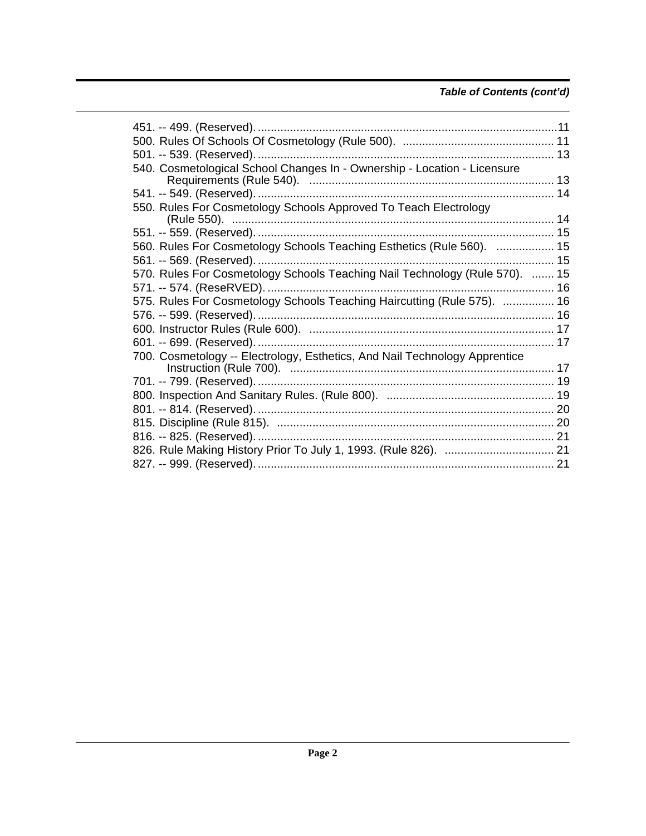### Table of Contents (cont'd)

| 540. Cosmetological School Changes In - Ownership - Location - Licensure    |  |
|-----------------------------------------------------------------------------|--|
|                                                                             |  |
|                                                                             |  |
| 550. Rules For Cosmetology Schools Approved To Teach Electrology            |  |
|                                                                             |  |
|                                                                             |  |
| 560. Rules For Cosmetology Schools Teaching Esthetics (Rule 560).  15       |  |
|                                                                             |  |
| 570. Rules For Cosmetology Schools Teaching Nail Technology (Rule 570).  15 |  |
|                                                                             |  |
|                                                                             |  |
| 575. Rules For Cosmetology Schools Teaching Haircutting (Rule 575).  16     |  |
|                                                                             |  |
|                                                                             |  |
|                                                                             |  |
| 700. Cosmetology -- Electrology, Esthetics, And Nail Technology Apprentice  |  |
|                                                                             |  |
|                                                                             |  |
|                                                                             |  |
|                                                                             |  |
|                                                                             |  |
|                                                                             |  |
|                                                                             |  |
|                                                                             |  |
|                                                                             |  |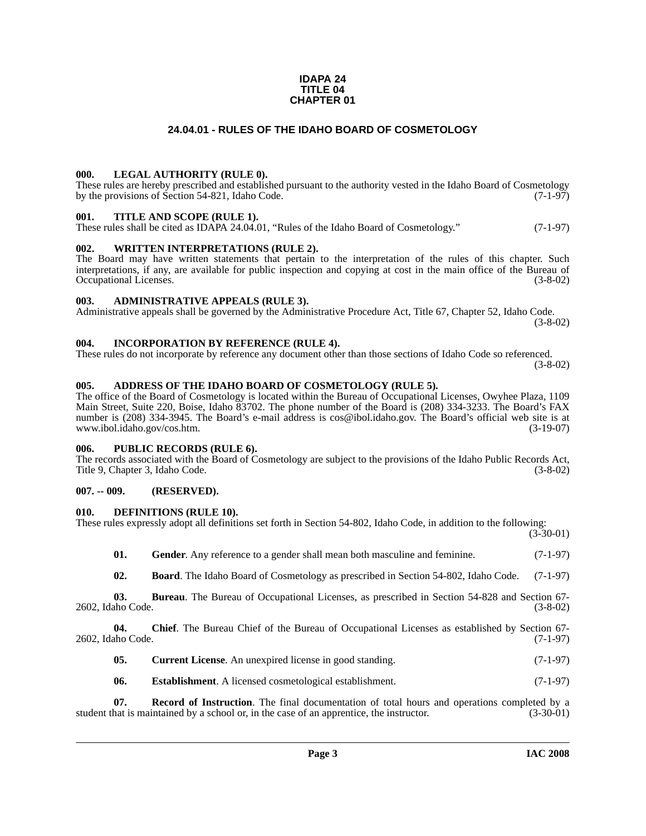### **IDAPA 24 TITLE 04 CHAPTER 01**

### **24.04.01 - RULES OF THE IDAHO BOARD OF COSMETOLOGY**

### <span id="page-2-1"></span><span id="page-2-0"></span>**000. LEGAL AUTHORITY (RULE 0).**

These rules are hereby prescribed and established pursuant to the authority vested in the Idaho Board of Cosmetology by the provisions of Section 54-821, Idaho Code. (7-1-97)

### <span id="page-2-2"></span>**001. TITLE AND SCOPE (RULE 1).**

These rules shall be cited as IDAPA 24.04.01, "Rules of the Idaho Board of Cosmetology." (7-1-97)

### <span id="page-2-3"></span>**002. WRITTEN INTERPRETATIONS (RULE 2).**

The Board may have written statements that pertain to the interpretation of the rules of this chapter. Such interpretations, if any, are available for public inspection and copying at cost in the main office of the Bureau of Occupational Licenses. (3-8-02)

### <span id="page-2-4"></span>**003. ADMINISTRATIVE APPEALS (RULE 3).**

Administrative appeals shall be governed by the Administrative Procedure Act, Title 67, Chapter 52, Idaho Code. (3-8-02)

### <span id="page-2-5"></span>**004. INCORPORATION BY REFERENCE (RULE 4).**

These rules do not incorporate by reference any document other than those sections of Idaho Code so referenced. (3-8-02)

### <span id="page-2-10"></span><span id="page-2-6"></span>**005. ADDRESS OF THE IDAHO BOARD OF COSMETOLOGY (RULE 5).**

[The office of the Board of Cosmetology is located within the Bureau of Occupational Licenses, Owyhee Plaza, 1109](mailto:cos@ibol.idaho.gov)  Main Street, Suite 220, Boise, Idaho 83702. The phone number of the Board is (208) 334-3233. The Board's FAX number is (208) 334-3945. The Board's e-mail address is cos@ibol.idaho.gov. The Board's official web site is at www.ibol.idaho.gov/cos.htm. (3-19-07) www.ibol.idaho.gov/cos.htm.

### <span id="page-2-7"></span>**006. PUBLIC RECORDS (RULE 6).**

The records associated with the Board of Cosmetology are subject to the provisions of the Idaho Public Records Act, Title 9, Chapter 3, Idaho Code. (3-8-02)

### <span id="page-2-8"></span>**007. -- 009. (RESERVED).**

### <span id="page-2-14"></span><span id="page-2-9"></span>**010. DEFINITIONS (RULE 10).**

|  |  | These rules expressly adopt all definitions set forth in Section 54-802, Idaho Code, in addition to the following: |  |
|--|--|--------------------------------------------------------------------------------------------------------------------|--|
|  |  |                                                                                                                    |  |
|  |  |                                                                                                                    |  |

 $(3-30-01)$ 

<span id="page-2-16"></span><span id="page-2-11"></span>

| - 01. | Gender. Any reference to a gender shall mean both masculine and feminine.                           | $(7-1-97)$ |
|-------|-----------------------------------------------------------------------------------------------------|------------|
| - 02. | <b>Board</b> . The Idaho Board of Cosmetology as prescribed in Section 54-802, Idaho Code. (7-1-97) |            |

**03. Bureau**. The Bureau of Occupational Licenses, as prescribed in Section 54-828 and Section 67- 2602, Idaho Code. (3-8-02)

**04. Chief**. The Bureau Chief of the Bureau of Occupational Licenses as established by Section 67- 2602, Idaho Code. (7-1-97)

<span id="page-2-15"></span><span id="page-2-13"></span><span id="page-2-12"></span>

| 05. | <b>Current License.</b> An unexpired license in good standing. | $(7-1-97)$ |
|-----|----------------------------------------------------------------|------------|
|-----|----------------------------------------------------------------|------------|

<span id="page-2-17"></span>**06.** Establishment. A licensed cosmetological establishment. (7-1-97)

**07. Record of Instruction**. The final documentation of total hours and operations completed by a hat is maintained by a school or, in the case of an apprentice, the instructor. (3-30-01) student that is maintained by a school or, in the case of an apprentice, the instructor.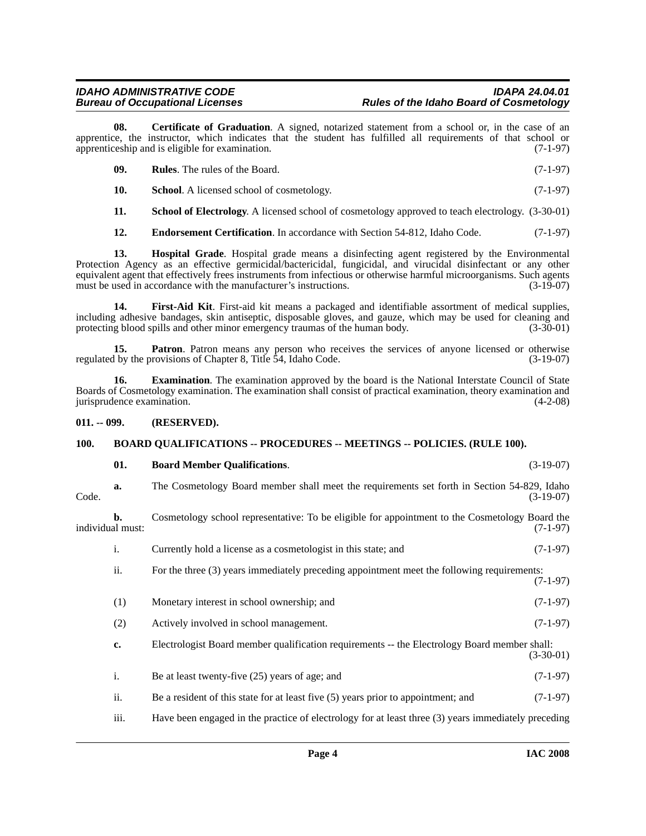**08. Certificate of Graduation**. A signed, notarized statement from a school or, in the case of an apprentice, the instructor, which indicates that the student has fulfilled all requirements of that school or apprenticeship and is eligible for examination. (7-1-97)

<span id="page-3-11"></span><span id="page-3-10"></span><span id="page-3-4"></span>

| - 09. | <b>Rules.</b> The rules of the Board.            | $(7-1-97)$ |
|-------|--------------------------------------------------|------------|
|       | <b>School.</b> A licensed school of cosmetology. | $(7-1-97)$ |

<span id="page-3-12"></span>**11. School of Electrology**. A licensed school of cosmetology approved to teach electrology. (3-30-01)

<span id="page-3-8"></span><span id="page-3-5"></span>**12. Endorsement Certification**. In accordance with Section 54-812, Idaho Code. (7-1-97)

**13. Hospital Grade**. Hospital grade means a disinfecting agent registered by the Environmental Protection Agency as an effective germicidal/bactericidal, fungicidal, and virucidal disinfectant or any other equivalent agent that effectively frees instruments from infectious or otherwise harmful microorganisms. Such agents must be used in accordance with the manufacturer's instructions. (3-19-07) must be used in accordance with the manufacturer's instructions.

<span id="page-3-7"></span>**14. First-Aid Kit**. First-aid kit means a packaged and identifiable assortment of medical supplies, including adhesive bandages, skin antiseptic, disposable gloves, and gauze, which may be used for cleaning and protecting blood spills and other minor emergency traumas of the human body.

<span id="page-3-9"></span>**15. Patron**. Patron means any person who receives the services of anyone licensed or otherwise by the provisions of Chapter 8, Title 54, Idaho Code. (3-19-07) regulated by the provisions of Chapter 8, Title 54, Idaho Code.

<span id="page-3-6"></span>**16. Examination**. The examination approved by the board is the National Interstate Council of State Boards of Cosmetology examination. The examination shall consist of practical examination, theory examination and jurisprudence examination. (4-2-08)

### <span id="page-3-0"></span>**011. -- 099. (RESERVED).**

### <span id="page-3-1"></span>**100. BOARD QUALIFICATIONS -- PROCEDURES -- MEETINGS -- POLICIES. (RULE 100).**

### <span id="page-3-3"></span><span id="page-3-2"></span>**01. Board Member Qualifications**. (3-19-07)

**a.** The Cosmetology Board member shall meet the requirements set forth in Section 54-829, Idaho Code. (3-19-07)

**b.** Cosmetology school representative: To be eligible for appointment to the Cosmetology Board the individual must: (7-1-97)

- i. Currently hold a license as a cosmetologist in this state; and (7-1-97)
- ii. For the three (3) years immediately preceding appointment meet the following requirements: (7-1-97)
- (1) Monetary interest in school ownership; and (7-1-97)
- (2) Actively involved in school management. (7-1-97)
- **c.** Electrologist Board member qualification requirements -- the Electrology Board member shall: (3-30-01)
- i. Be at least twenty-five  $(25)$  years of age; and  $(7-1-97)$
- ii. Be a resident of this state for at least five (5) years prior to appointment; and (7-1-97)
- iii. Have been engaged in the practice of electrology for at least three (3) years immediately preceding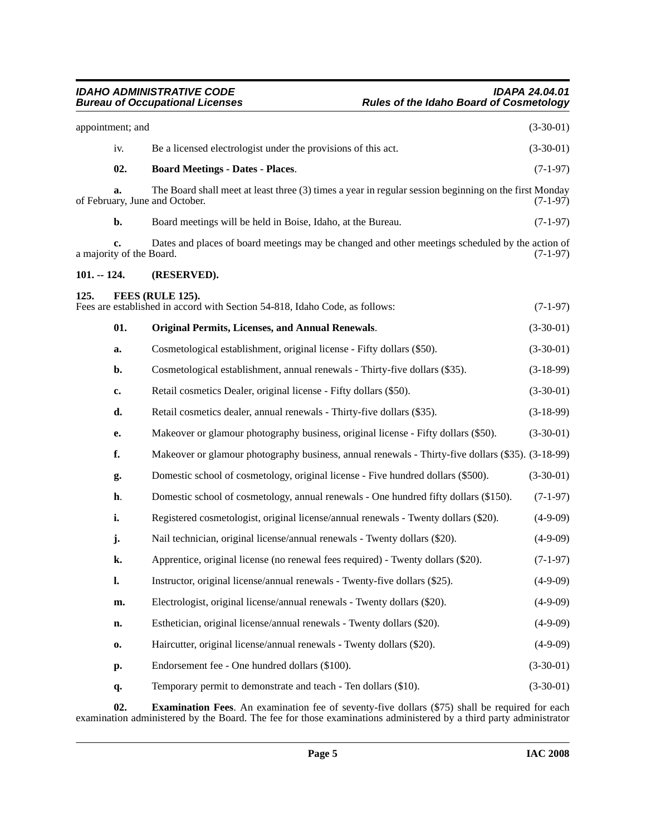<span id="page-4-5"></span><span id="page-4-4"></span><span id="page-4-2"></span><span id="page-4-1"></span><span id="page-4-0"></span>

|               | appointment; and               |                                                                                                                                         | $(3-30-01)$ |
|---------------|--------------------------------|-----------------------------------------------------------------------------------------------------------------------------------------|-------------|
|               | iv.                            | Be a licensed electrologist under the provisions of this act.                                                                           | $(3-30-01)$ |
|               | 02.                            | <b>Board Meetings - Dates - Places.</b>                                                                                                 | $(7-1-97)$  |
|               | a.                             | The Board shall meet at least three (3) times a year in regular session beginning on the first Monday<br>of February, June and October. | $(7-1-97)$  |
|               | b.                             | Board meetings will be held in Boise, Idaho, at the Bureau.                                                                             | $(7-1-97)$  |
|               | c.<br>a majority of the Board. | Dates and places of board meetings may be changed and other meetings scheduled by the action of                                         | $(7-1-97)$  |
| $101. - 124.$ |                                | (RESERVED).                                                                                                                             |             |
| 125.          |                                | FEES (RULE 125).<br>Fees are established in accord with Section 54-818, Idaho Code, as follows:                                         | $(7-1-97)$  |
|               | 01.                            | <b>Original Permits, Licenses, and Annual Renewals.</b>                                                                                 | $(3-30-01)$ |
|               | a.                             | Cosmetological establishment, original license - Fifty dollars (\$50).                                                                  | $(3-30-01)$ |
|               | b.                             | Cosmetological establishment, annual renewals - Thirty-five dollars (\$35).                                                             | $(3-18-99)$ |
|               | c.                             | Retail cosmetics Dealer, original license - Fifty dollars (\$50).                                                                       | $(3-30-01)$ |
|               | d.                             | Retail cosmetics dealer, annual renewals - Thirty-five dollars (\$35).                                                                  | $(3-18-99)$ |
|               | e.                             | Makeover or glamour photography business, original license - Fifty dollars (\$50).                                                      | $(3-30-01)$ |
|               | f.                             | Makeover or glamour photography business, annual renewals - Thirty-five dollars (\$35). (3-18-99)                                       |             |
|               | g.                             | Domestic school of cosmetology, original license - Five hundred dollars (\$500).                                                        | $(3-30-01)$ |
|               | h.                             | Domestic school of cosmetology, annual renewals - One hundred fifty dollars (\$150).                                                    | $(7-1-97)$  |
|               | i.                             | Registered cosmetologist, original license/annual renewals - Twenty dollars (\$20).                                                     | $(4-9-09)$  |
|               | j.                             | Nail technician, original license/annual renewals - Twenty dollars (\$20).                                                              | $(4-9-09)$  |
|               | k.                             | Apprentice, original license (no renewal fees required) - Twenty dollars (\$20).                                                        | $(7-1-97)$  |
|               | l.                             | Instructor, original license/annual renewals - Twenty-five dollars (\$25).                                                              | $(4-9-09)$  |
|               | m.                             | Electrologist, original license/annual renewals - Twenty dollars (\$20).                                                                | $(4-9-09)$  |
|               | n.                             | Esthetician, original license/annual renewals - Twenty dollars (\$20).                                                                  | $(4-9-09)$  |
|               | 0.                             | Haircutter, original license/annual renewals - Twenty dollars (\$20).                                                                   | $(4-9-09)$  |
|               | p.                             | Endorsement fee - One hundred dollars (\$100).                                                                                          | $(3-30-01)$ |
|               | q.                             | Temporary permit to demonstrate and teach - Ten dollars (\$10).                                                                         | $(3-30-01)$ |
|               |                                |                                                                                                                                         |             |

<span id="page-4-3"></span>**02. Examination Fees**. An examination fee of seventy-five dollars (\$75) shall be required for each examination administered by the Board. The fee for those examinations administered by a third party administrator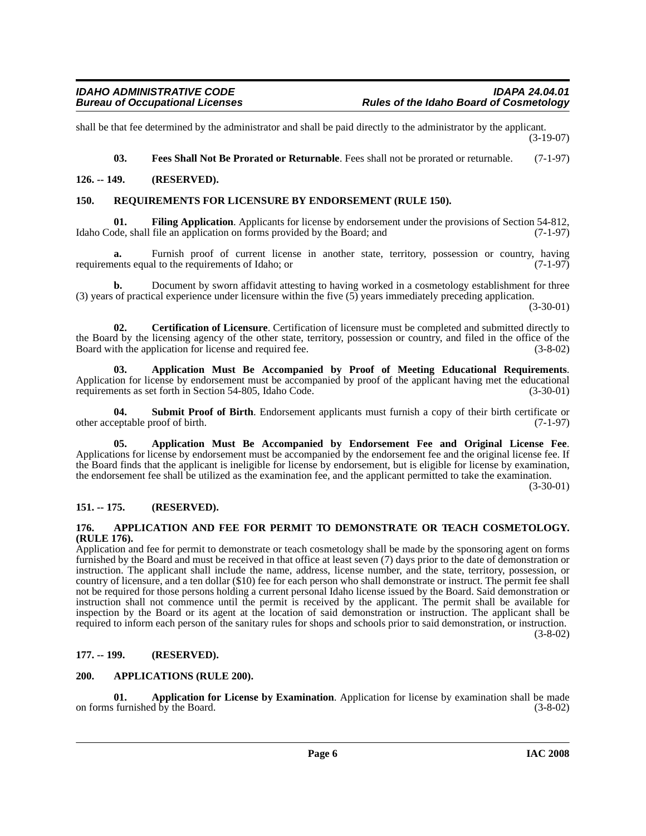shall be that fee determined by the administrator and shall be paid directly to the administrator by the applicant. (3-19-07)

<span id="page-5-14"></span><span id="page-5-13"></span><span id="page-5-12"></span>**03. Fees Shall Not Be Prorated or Returnable**. Fees shall not be prorated or returnable. (7-1-97)

### <span id="page-5-0"></span>**126. -- 149. (RESERVED).**

### <span id="page-5-1"></span>**150. REQUIREMENTS FOR LICENSURE BY ENDORSEMENT (RULE 150).**

**01. Filing Application**. Applicants for license by endorsement under the provisions of Section 54-812, bde, shall file an application on forms provided by the Board; and (7-1-97) Idaho Code, shall file an application on forms provided by the Board; and

**a.** Furnish proof of current license in another state, territory, possession or country, having requirements equal to the requirements of Idaho; or  $(7-1-97)$ 

**b.** Document by sworn affidavit attesting to having worked in a cosmetology establishment for three (3) years of practical experience under licensure within the five (5) years immediately preceding application.

(3-30-01)

<span id="page-5-11"></span>**02. Certification of Licensure**. Certification of licensure must be completed and submitted directly to the Board by the licensing agency of the other state, territory, possession or country, and filed in the office of the Board with the application for license and required fee. (3-8-02) Board with the application for license and required fee.

<span id="page-5-9"></span>**03. Application Must Be Accompanied by Proof of Meeting Educational Requirements**. Application for license by endorsement must be accompanied by proof of the applicant having met the educational requirements as set forth in Section 54-805. Idaho Code. requirements as set forth in Section 54-805, Idaho Code.

<span id="page-5-15"></span>**04. Submit Proof of Birth**. Endorsement applicants must furnish a copy of their birth certificate or other acceptable proof of birth. (7-1-97)

<span id="page-5-8"></span>**05. Application Must Be Accompanied by Endorsement Fee and Original License Fee**. Applications for license by endorsement must be accompanied by the endorsement fee and the original license fee. If the Board finds that the applicant is ineligible for license by endorsement, but is eligible for license by examination, the endorsement fee shall be utilized as the examination fee, and the applicant permitted to take the examination.

(3-30-01)

### <span id="page-5-2"></span>**151. -- 175. (RESERVED).**

### <span id="page-5-6"></span><span id="page-5-3"></span>**176. APPLICATION AND FEE FOR PERMIT TO DEMONSTRATE OR TEACH COSMETOLOGY. (RULE 176).**

Application and fee for permit to demonstrate or teach cosmetology shall be made by the sponsoring agent on forms furnished by the Board and must be received in that office at least seven (7) days prior to the date of demonstration or instruction. The applicant shall include the name, address, license number, and the state, territory, possession, or country of licensure, and a ten dollar (\$10) fee for each person who shall demonstrate or instruct. The permit fee shall not be required for those persons holding a current personal Idaho license issued by the Board. Said demonstration or instruction shall not commence until the permit is received by the applicant. The permit shall be available for inspection by the Board or its agent at the location of said demonstration or instruction. The applicant shall be required to inform each person of the sanitary rules for shops and schools prior to said demonstration, or instruction.

(3-8-02)

### <span id="page-5-4"></span>**177. -- 199. (RESERVED).**

### <span id="page-5-10"></span><span id="page-5-5"></span>**200. APPLICATIONS (RULE 200).**

<span id="page-5-7"></span>**01. Application for License by Examination**. Application for license by examination shall be made on forms furnished by the Board.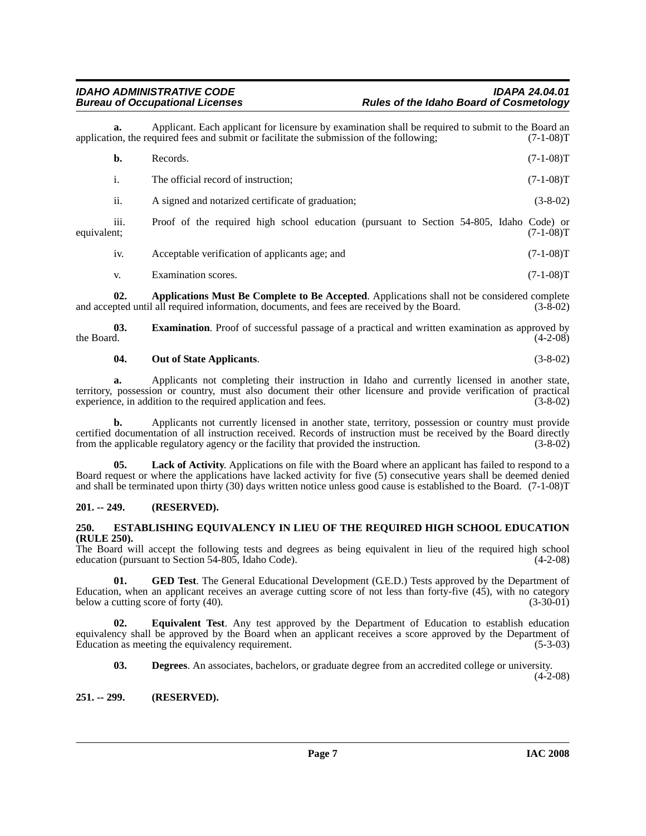Applicant. Each applicant for licensure by examination shall be required to submit to the Board an quired fees and submit or facilitate the submission of the following: (7-1-08)<sup>T</sup> application, the required fees and submit or facilitate the submission of the following;

|             | b.               | Records.                                                                                | $(7-1-08)T$ |
|-------------|------------------|-----------------------------------------------------------------------------------------|-------------|
|             | i.               | The official record of instruction;                                                     | $(7-1-08)T$ |
|             | ii.              | A signed and notarized certificate of graduation;                                       | $(3-8-02)$  |
| equivalent; | $\cdots$<br>111. | Proof of the required high school education (pursuant to Section 54-805, Idaho Code) or | $(7-1-08)T$ |
|             | iv.              | Acceptable verification of applicants age; and                                          | $(7-1-08)T$ |
|             | V.               | Examination scores.                                                                     | $(7-1-08)T$ |

<span id="page-6-3"></span>**02. Applications Must Be Complete to Be Accepted**. Applications shall not be considered complete and accepted until all required information, documents, and fees are received by the Board. (3-8-02)

**03. Examination**. Proof of successful passage of a practical and written examination as approved by the Board.  $(4-2-08)$ 

### <span id="page-6-10"></span><span id="page-6-7"></span>**04. Out of State Applicants**. (3-8-02)

**a.** Applicants not completing their instruction in Idaho and currently licensed in another state, territory, possession or country, must also document their other licensure and provide verification of practical experience, in addition to the required application and fees. (3-8-02)

**b.** Applicants not currently licensed in another state, territory, possession or country must provide certified documentation of all instruction received. Records of instruction must be received by the Board directly from the applicable regulatory agency or the facility that provided the instruction. (3-8-02) from the applicable regulatory agency or the facility that provided the instruction.

<span id="page-6-9"></span>Lack of Activity. Applications on file with the Board where an applicant has failed to respond to a Board request or where the applications have lacked activity for five (5) consecutive years shall be deemed denied and shall be terminated upon thirty (30) days written notice unless good cause is established to the Board. (7-1-08)T

### <span id="page-6-0"></span>**201. -- 249. (RESERVED).**

### <span id="page-6-6"></span><span id="page-6-1"></span>**250. ESTABLISHING EQUIVALENCY IN LIEU OF THE REQUIRED HIGH SCHOOL EDUCATION (RULE 250).**

The Board will accept the following tests and degrees as being equivalent in lieu of the required high school education (pursuant to Section 54-805, Idaho Code). (4-2-08)

<span id="page-6-8"></span>**01.** GED Test. The General Educational Development (G.E.D.) Tests approved by the Department of Education, when an applicant receives an average cutting score of not less than forty-five  $(4\overline{5})$ , with no category below a cutting score of forty  $(40)$ .  $(3-30-01)$ below a cutting score of forty  $(40)$ .

**02. Equivalent Test**. Any test approved by the Department of Education to establish education equivalency shall be approved by the Board when an applicant receives a score approved by the Department of Education as meeting the equivalency requirement. (5-3-03) Education as meeting the equivalency requirement.

<span id="page-6-5"></span><span id="page-6-4"></span>**03. Degrees**. An associates, bachelors, or graduate degree from an accredited college or university.

(4-2-08)

### <span id="page-6-2"></span>**251. -- 299. (RESERVED).**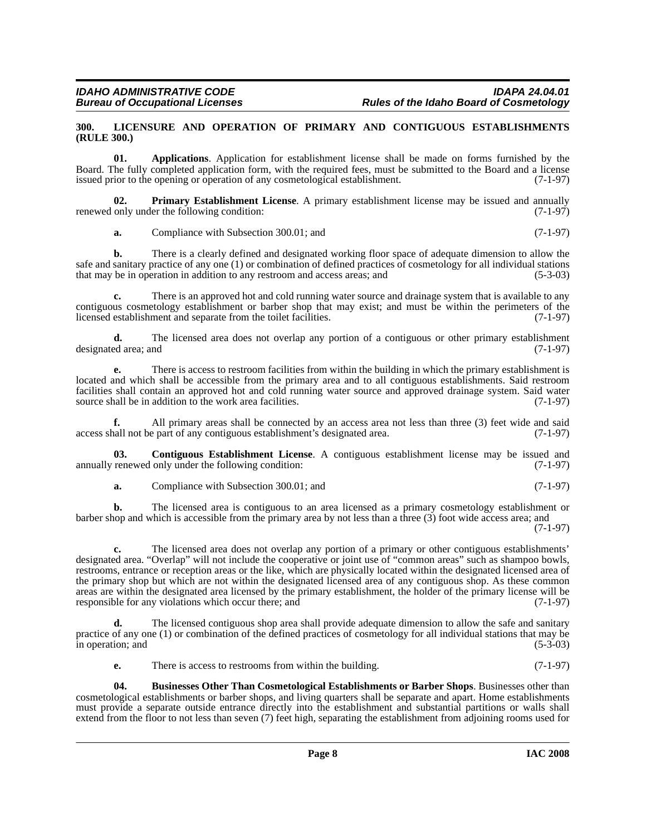### <span id="page-7-4"></span><span id="page-7-0"></span>**300. LICENSURE AND OPERATION OF PRIMARY AND CONTIGUOUS ESTABLISHMENTS (RULE 300.)**

<span id="page-7-1"></span>**01. Applications**. Application for establishment license shall be made on forms furnished by the Board. The fully completed application form, with the required fees, must be submitted to the Board and a license issued prior to the opening or operation of any cosmetological establishment. (7-1-97)

**02. Primary Establishment License**. A primary establishment license may be issued and annually renewed only under the following condition:  $(7-1-97)$ 

<span id="page-7-5"></span>**a.** Compliance with Subsection 300.01; and (7-1-97)

**b.** There is a clearly defined and designated working floor space of adequate dimension to allow the safe and sanitary practice of any one (1) or combination of defined practices of cosmetology for all individual stations that may be in operation in addition to any restroom and access areas; and (5-3-03)

**c.** There is an approved hot and cold running water source and drainage system that is available to any contiguous cosmetology establishment or barber shop that may exist; and must be within the perimeters of the licensed establishment and separate from the toilet facilities. (7-1-97)

**d.** The licensed area does not overlap any portion of a contiguous or other primary establishment ed area: and (7-1-97) designated area; and

**e.** There is access to restroom facilities from within the building in which the primary establishment is located and which shall be accessible from the primary area and to all contiguous establishments. Said restroom facilities shall contain an approved hot and cold running water source and approved drainage system. Said water source shall be in addition to the work area facilities. (7-1-97)

**f.** All primary areas shall be connected by an access area not less than three (3) feet wide and said access shall not be part of any contiguous establishment's designated area. (7-1-97)

**03. Contiguous Establishment License**. A contiguous establishment license may be issued and annually renewed only under the following condition: (7-1-97)

<span id="page-7-3"></span>**a.** Compliance with Subsection 300.01; and (7-1-97)

**b.** The licensed area is contiguous to an area licensed as a primary cosmetology establishment or barber shop and which is accessible from the primary area by not less than a three (3) foot wide access area; and

(7-1-97)

**c.** The licensed area does not overlap any portion of a primary or other contiguous establishments' designated area. "Overlap" will not include the cooperative or joint use of "common areas" such as shampoo bowls, restrooms, entrance or reception areas or the like, which are physically located within the designated licensed area of the primary shop but which are not within the designated licensed area of any contiguous shop. As these common areas are within the designated area licensed by the primary establishment, the holder of the primary license will be responsible for any violations which occur there: and (7-1-97) responsible for any violations which occur there; and

The licensed contiguous shop area shall provide adequate dimension to allow the safe and sanitary practice of any one (1) or combination of the defined practices of cosmetology for all individual stations that may be in operation; and (5-3-03) in operation; and

<span id="page-7-2"></span>**e.** There is access to restrooms from within the building. (7-1-97)

**04. Businesses Other Than Cosmetological Establishments or Barber Shops**. Businesses other than cosmetological establishments or barber shops, and living quarters shall be separate and apart. Home establishments must provide a separate outside entrance directly into the establishment and substantial partitions or walls shall extend from the floor to not less than seven (7) feet high, separating the establishment from adjoining rooms used for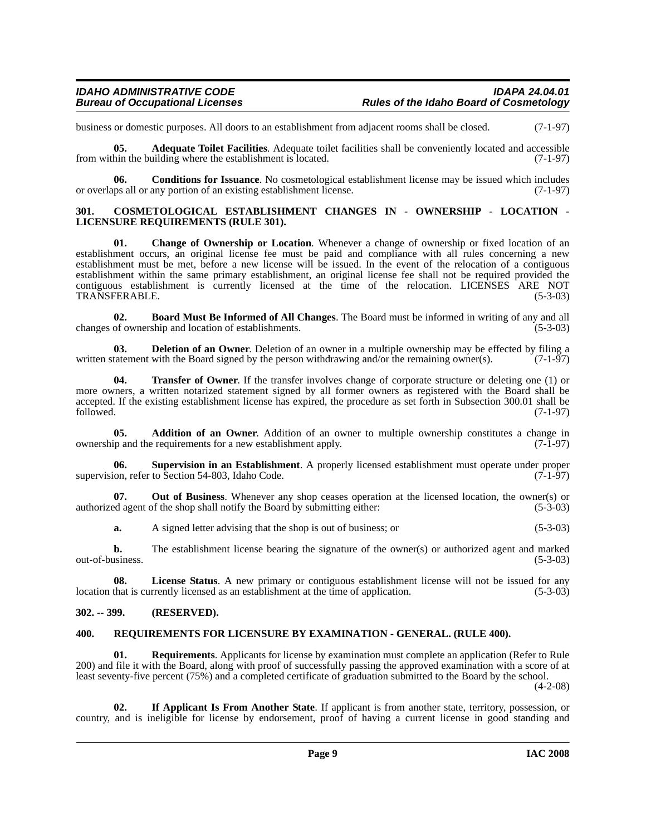business or domestic purposes. All doors to an establishment from adjacent rooms shall be closed. (7-1-97)

<span id="page-8-4"></span>**05. Adequate Toilet Facilities**. Adequate toilet facilities shall be conveniently located and accessible from within the building where the establishment is located. (7-1-97)

<span id="page-8-7"></span>**06. Conditions for Issuance**. No cosmetological establishment license may be issued which includes ups all or any portion of an existing establishment license. (7-1-97) or overlaps all or any portion of an existing establishment license.

### <span id="page-8-8"></span><span id="page-8-0"></span>**301. COSMETOLOGICAL ESTABLISHMENT CHANGES IN - OWNERSHIP - LOCATION - LICENSURE REQUIREMENTS (RULE 301).**

<span id="page-8-6"></span>**01. Change of Ownership or Location**. Whenever a change of ownership or fixed location of an establishment occurs, an original license fee must be paid and compliance with all rules concerning a new establishment must be met, before a new license will be issued. In the event of the relocation of a contiguous establishment within the same primary establishment, an original license fee shall not be required provided the contiguous establishment is currently licensed at the time of the relocation. LICENSES ARE NOT TRANSFERABLE. (5-3-03) TRANSFERABLE.

<span id="page-8-5"></span>**02. Board Must Be Informed of All Changes**. The Board must be informed in writing of any and all changes of ownership and location of establishments.

<span id="page-8-9"></span>**03. Deletion of an Owner**. Deletion of an owner in a multiple ownership may be effected by filing a tatement with the Board signed by the person withdrawing and/or the remaining owner(s). (7-1-97) written statement with the Board signed by the person withdrawing and/or the remaining owner(s).

<span id="page-8-13"></span>**04. Transfer of Owner**. If the transfer involves change of corporate structure or deleting one (1) or more owners, a written notarized statement signed by all former owners as registered with the Board shall be accepted. If the existing establishment license has expired, the procedure as set forth in Subsection 300.01 shall be followed. (7-1-97) followed. (7-1-97)

<span id="page-8-3"></span>**05. Addition of an Owner**. Addition of an owner to multiple ownership constitutes a change in ip and the requirements for a new establishment apply. (7-1-97) ownership and the requirements for a new establishment apply.

<span id="page-8-12"></span>**06. Supervision in an Establishment**. A properly licensed establishment must operate under proper supervision, refer to Section 54-803, Idaho Code. (7-1-97)

**07. Out of Business**. Whenever any shop ceases operation at the licensed location, the owner(s) or authorized agent of the shop shall notify the Board by submitting either: (5-3-03)

**a.** A signed letter advising that the shop is out of business; or (5-3-03)

**b.** The establishment license bearing the signature of the owner(s) or authorized agent and marked out-of-business. (5-3-03)

**08.** License Status. A new primary or contiguous establishment license will not be issued for any that is currently licensed as an establishment at the time of application. (5-3-03) location that is currently licensed as an establishment at the time of application.

### <span id="page-8-1"></span>**302. -- 399. (RESERVED).**

### <span id="page-8-11"></span><span id="page-8-2"></span>**400. REQUIREMENTS FOR LICENSURE BY EXAMINATION - GENERAL. (RULE 400).**

**01. Requirements**. Applicants for license by examination must complete an application (Refer to Rule 200) and file it with the Board, along with proof of successfully passing the approved examination with a score of at least seventy-five percent (75%) and a completed certificate of graduation submitted to the Board by the school.

(4-2-08)

<span id="page-8-10"></span>**02. If Applicant Is From Another State**. If applicant is from another state, territory, possession, or country, and is ineligible for license by endorsement, proof of having a current license in good standing and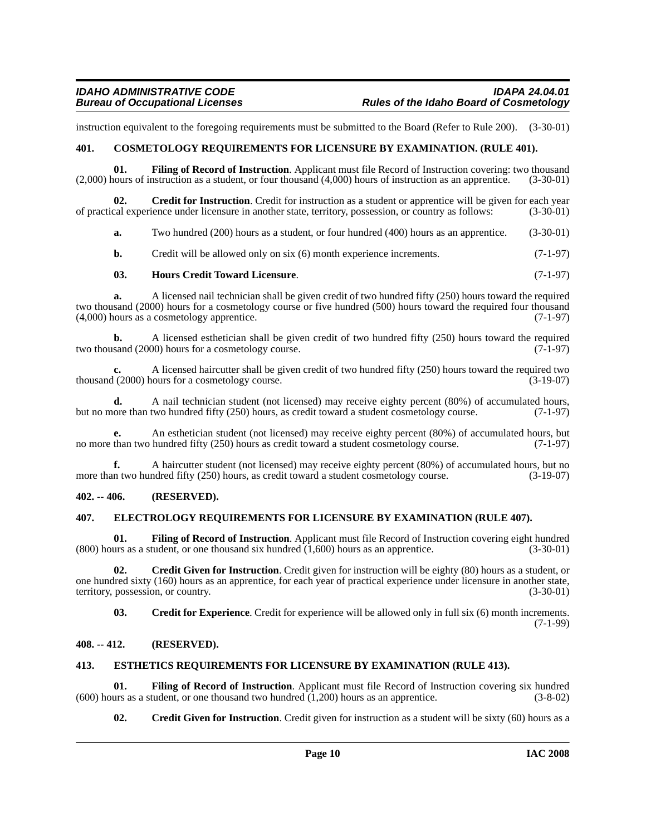instruction equivalent to the foregoing requirements must be submitted to the Board (Refer to Rule 200). (3-30-01)

### <span id="page-9-5"></span><span id="page-9-0"></span>**401. COSMETOLOGY REQUIREMENTS FOR LICENSURE BY EXAMINATION. (RULE 401).**

<span id="page-9-12"></span>**01. Filing of Record of Instruction**. Applicant must file Record of Instruction covering: two thousand (2,000) hours of instruction as a student, or four thousand (4,000) hours of instruction as an apprentice. (3-30-01)

**Credit for Instruction**. Credit for instruction as a student or apprentice will be given for each year of practical experience under licensure in another state, territory, possession, or country as follows: (3-30-01)

<span id="page-9-7"></span>**a.** Two hundred (200) hours as a student, or four hundred (400) hours as an apprentice. (3-30-01)

**b.** Credit will be allowed only on six (6) month experience increments. (7-1-97)

### <span id="page-9-15"></span>**03. Hours Credit Toward Licensure**. (7-1-97)

**a.** A licensed nail technician shall be given credit of two hundred fifty (250) hours toward the required two thousand (2000) hours for a cosmetology course or five hundred (500) hours toward the required four thousand (4,000) hours as a cosmetology apprentice. (7-1-97)

**b.** A licensed esthetician shall be given credit of two hundred fifty (250) hours toward the required sand (2000) hours for a cosmetology course. two thousand (2000) hours for a cosmetology course.

**c.** A licensed haircutter shall be given credit of two hundred fifty (250) hours toward the required two thousand (2000) hours for a cosmetology course. (3-19-07)

**d.** A nail technician student (not licensed) may receive eighty percent (80%) of accumulated hours, ore than two hundred fifty (250) hours, as credit toward a student cosmetology course. (7-1-97) but no more than two hundred fifty (250) hours, as credit toward a student cosmetology course.

**e.** An esthetician student (not licensed) may receive eighty percent (80%) of accumulated hours, but than two hundred fifty (250) hours as credit toward a student cosmetology course. (7-1-97) no more than two hundred fifty (250) hours as credit toward a student cosmetology course.

**f.** A haircutter student (not licensed) may receive eighty percent (80%) of accumulated hours, but no more than two hundred fifty (250) hours, as credit toward a student cosmetology course. (3-19-07)

### <span id="page-9-1"></span>**402. -- 406. (RESERVED).**

### <span id="page-9-10"></span><span id="page-9-2"></span>**407. ELECTROLOGY REQUIREMENTS FOR LICENSURE BY EXAMINATION (RULE 407).**

<span id="page-9-13"></span>**01. Filing of Record of Instruction**. Applicant must file Record of Instruction covering eight hundred  $(800)$  hours as a student, or one thousand six hundred  $(1,600)$  hours as an apprentice.  $(3-30-01)$ 

**02. Credit Given for Instruction**. Credit given for instruction will be eighty (80) hours as a student, or one hundred sixty (160) hours as an apprentice, for each year of practical experience under licensure in another state, territory, possession, or country. (3-30-01)

<span id="page-9-8"></span><span id="page-9-6"></span>**03. Credit for Experience**. Credit for experience will be allowed only in full six (6) month increments. (7-1-99)

### <span id="page-9-3"></span>**408. -- 412. (RESERVED).**

### <span id="page-9-11"></span><span id="page-9-4"></span>**413. ESTHETICS REQUIREMENTS FOR LICENSURE BY EXAMINATION (RULE 413).**

**01.** Filing of Record of Instruction. Applicant must file Record of Instruction covering six hundred (using as a student, or one thousand two hundred (1,200) hours as an apprentice. (3-8-02) (600) hours as a student, or one thousand two hundred  $(1,200)$  hours as an apprentice.

<span id="page-9-14"></span><span id="page-9-9"></span>**02.** Credit Given for Instruction. Credit given for instruction as a student will be sixty (60) hours as a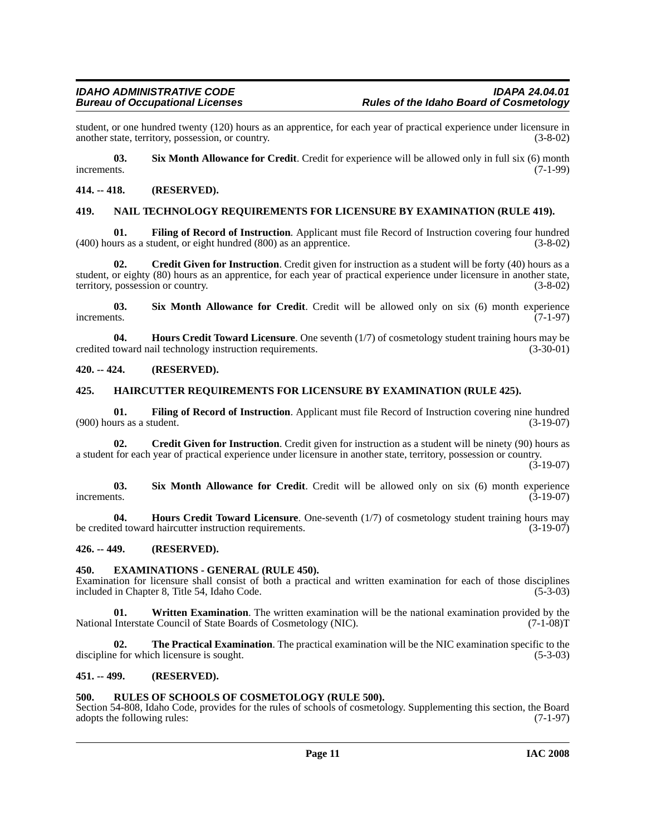student, or one hundred twenty (120) hours as an apprentice, for each year of practical experience under licensure in another state, territory, possession, or country. (3-8-02) another state, territory, possession, or country.

<span id="page-10-14"></span>**03.** Six Month Allowance for Credit. Credit for experience will be allowed only in full six (6) month increments. (7-1-99) increments. (7-1-99)

### <span id="page-10-0"></span>**414. -- 418. (RESERVED).**

### <span id="page-10-12"></span><span id="page-10-1"></span>**419. NAIL TECHNOLOGY REQUIREMENTS FOR LICENSURE BY EXAMINATION (RULE 419).**

<span id="page-10-10"></span>**01. Filing of Record of Instruction**. Applicant must file Record of Instruction covering four hundred (400) hours as a student, or eight hundred (800) as an apprentice. (3-8-02)

<span id="page-10-8"></span>**02. Credit Given for Instruction**. Credit given for instruction as a student will be forty (40) hours as a student, or eighty (80) hours as an apprentice, for each year of practical experience under licensure in another state, territory, possession or country. (3-8-02)

<span id="page-10-15"></span>**03. Six Month Allowance for Credit**. Credit will be allowed only on six (6) month experience increments.  $(7-1-97)$ 

<span id="page-10-11"></span>**04. Hours Credit Toward Licensure**. One seventh (1/7) of cosmetology student training hours may be toward nail technology instruction requirements. (3-30-01) credited toward nail technology instruction requirements.

### <span id="page-10-2"></span>**420. -- 424. (RESERVED).**

### <span id="page-10-3"></span>**425. HAIRCUTTER REQUIREMENTS FOR LICENSURE BY EXAMINATION (RULE 425).**

**01. Filing of Record of Instruction**. Applicant must file Record of Instruction covering nine hundred  $(900)$  hours as a student.

**02.** Credit Given for Instruction. Credit given for instruction as a student will be ninety (90) hours as a student for each year of practical experience under licensure in another state, territory, possession or country.

(3-19-07)

**03. Six Month Allowance for Credit**. Credit will be allowed only on six (6) month experience increments.  $(3-19-07)$ 

**04. Hours Credit Toward Licensure**. One-seventh (1/7) of cosmetology student training hours may be credited toward haircutter instruction requirements. (3-19-07)

### <span id="page-10-4"></span>**426. -- 449. (RESERVED).**

### <span id="page-10-9"></span><span id="page-10-5"></span>**450. EXAMINATIONS - GENERAL (RULE 450).**

Examination for licensure shall consist of both a practical and written examination for each of those disciplines included in Chapter 8, Title 54, Idaho Code. (5-3-03) included in Chapter 8, Title 54, Idaho Code.

<span id="page-10-17"></span>**01. Written Examination**. The written examination will be the national examination provided by the National Interstate Council of State Boards of Cosmetology (NIC). (7-1-08)T

<span id="page-10-16"></span>**02. The Practical Examination**. The practical examination will be the NIC examination specific to the discipline for which licensure is sought. (5-3-03)

### <span id="page-10-6"></span>**451. -- 499. (RESERVED).**

### <span id="page-10-13"></span><span id="page-10-7"></span>**500. RULES OF SCHOOLS OF COSMETOLOGY (RULE 500).**

Section 54-808, Idaho Code, provides for the rules of schools of cosmetology. Supplementing this section, the Board adopts the following rules: (7-1-97)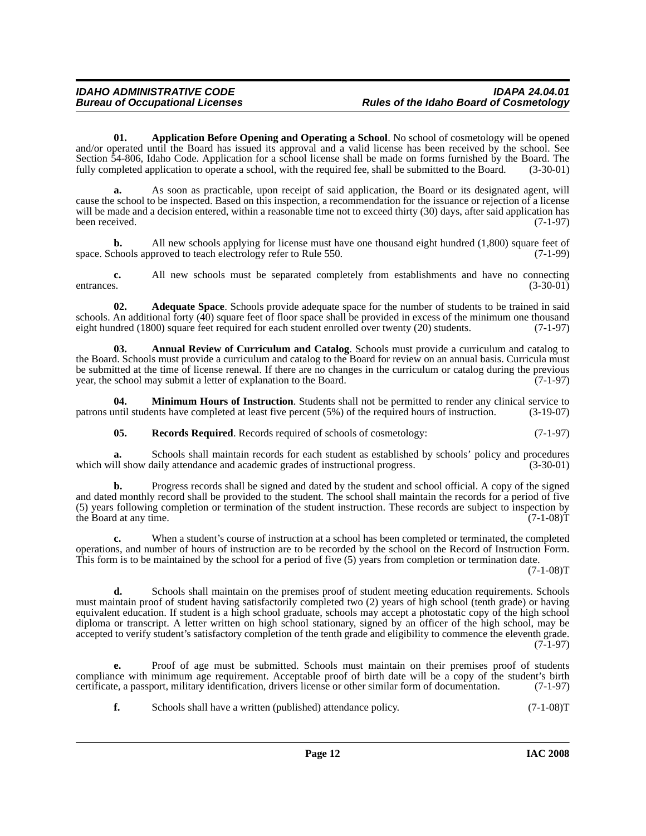<span id="page-11-2"></span>**01. Application Before Opening and Operating a School**. No school of cosmetology will be opened and/or operated until the Board has issued its approval and a valid license has been received by the school. See Section 54-806, Idaho Code. Application for a school license shall be made on forms furnished by the Board. The fully completed application to operate a school, with the required fee, shall be submitted to the Board. (3-30-01)

**a.** As soon as practicable, upon receipt of said application, the Board or its designated agent, will cause the school to be inspected. Based on this inspection, a recommendation for the issuance or rejection of a license will be made and a decision entered, within a reasonable time not to exceed thirty (30) days, after said application has been received. (7-1-97)

**b.** All new schools applying for license must have one thousand eight hundred (1,800) square feet of chools approved to teach electrology refer to Rule 550. (7-1-99) space. Schools approved to teach electrology refer to Rule 550.

**c.** All new schools must be separated completely from establishments and have no connecting s. (3-30-01) entrances. (3-30-01)

<span id="page-11-0"></span>**02. Adequate Space**. Schools provide adequate space for the number of students to be trained in said schools. An additional forty (40) square feet of floor space shall be provided in excess of the minimum one thousand eight hundred (1800) square feet required for each student enrolled over twenty (20) students. (7-1-97)

<span id="page-11-1"></span>**03. Annual Review of Curriculum and Catalog**. Schools must provide a curriculum and catalog to the Board. Schools must provide a curriculum and catalog to the Board for review on an annual basis. Curricula must be submitted at the time of license renewal. If there are no changes in the curriculum or catalog during the previous year, the school may submit a letter of explanation to the Board. (7-1-97)

**04. Minimum Hours of Instruction**. Students shall not be permitted to render any clinical service to until students have completed at least five percent (5%) of the required hours of instruction. (3-19-07) patrons until students have completed at least five percent  $(5%)$  of the required hours of instruction.

<span id="page-11-4"></span><span id="page-11-3"></span>**05.** Records Required. Records required of schools of cosmetology: (7-1-97)

**a.** Schools shall maintain records for each student as established by schools' policy and procedures which will show daily attendance and academic grades of instructional progress. (3-30-01)

**b.** Progress records shall be signed and dated by the student and school official. A copy of the signed and dated monthly record shall be provided to the student. The school shall maintain the records for a period of five (5) years following completion or termination of the student instruction. These records are subject to inspection by the Board at any time.  $(7-1-08)T$ the Board at any time.

**c.** When a student's course of instruction at a school has been completed or terminated, the completed operations, and number of hours of instruction are to be recorded by the school on the Record of Instruction Form. This form is to be maintained by the school for a period of five (5) years from completion or termination date.

 $(7-1-08)T$ 

**d.** Schools shall maintain on the premises proof of student meeting education requirements. Schools must maintain proof of student having satisfactorily completed two (2) years of high school (tenth grade) or having equivalent education. If student is a high school graduate, schools may accept a photostatic copy of the high school diploma or transcript. A letter written on high school stationary, signed by an officer of the high school, may be accepted to verify student's satisfactory completion of the tenth grade and eligibility to commence the eleventh grade.  $(7-1-97)$ 

**e.** Proof of age must be submitted. Schools must maintain on their premises proof of students compliance with minimum age requirement. Acceptable proof of birth date will be a copy of the student's birth certificate, a passport, military identification, drivers license or other similar form of documentation. (7-1-97)

**f.** Schools shall have a written (published) attendance policy. (7-1-08)T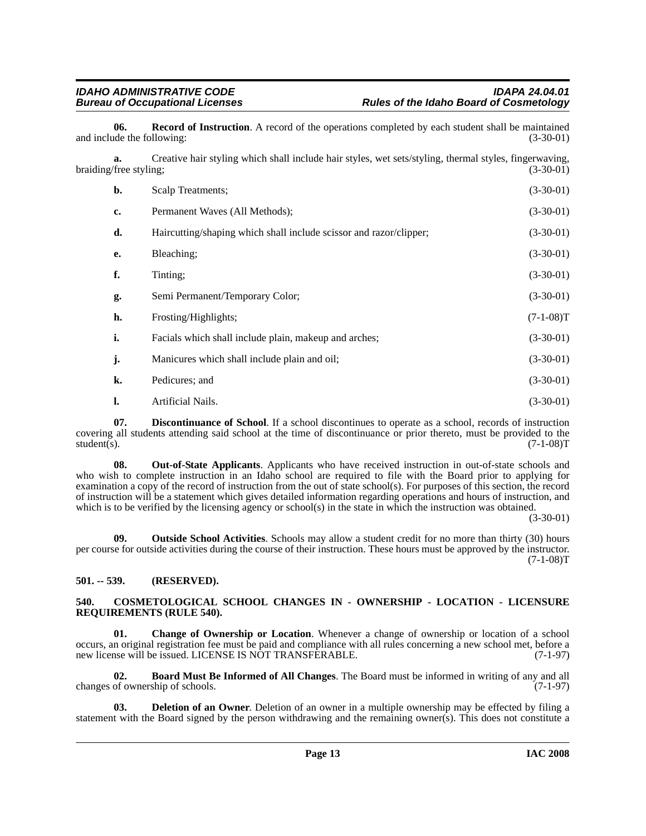<span id="page-12-9"></span>**06.** Record of Instruction. A record of the operations completed by each student shall be maintained de the following: (3-30-01) and include the following:

**a.** Creative hair styling which shall include hair styles, wet sets/styling, thermal styles, fingerwaving, braiding/free styling; (3-30-01) (3-30-01)

| $\mathbf{b}$ . | Scalp Treatments;                                                  | $(3-30-01)$ |
|----------------|--------------------------------------------------------------------|-------------|
| c.             | Permanent Waves (All Methods);                                     | $(3-30-01)$ |
| d.             | Haircutting/shaping which shall include scissor and razor/clipper; | $(3-30-01)$ |
| e.             | Bleaching;                                                         | $(3-30-01)$ |
| f.             | Tinting;                                                           | $(3-30-01)$ |
| g.             | Semi Permanent/Temporary Color;                                    | $(3-30-01)$ |
| h.             | Frosting/Highlights;                                               | $(7-1-08)T$ |
| i.             | Facials which shall include plain, makeup and arches;              | $(3-30-01)$ |
| j.             | Manicures which shall include plain and oil;                       | $(3-30-01)$ |
| k.             | Pedicures; and                                                     | $(3-30-01)$ |
| 1.             | Artificial Nails.                                                  | $(3-30-01)$ |

<span id="page-12-6"></span>**07. Discontinuance of School**. If a school discontinues to operate as a school, records of instruction covering all students attending said school at the time of discontinuance or prior thereto, must be provided to the student(s). (7-1-08)T student(s). (7-1-08)T

<span id="page-12-7"></span>**08. Out-of-State Applicants**. Applicants who have received instruction in out-of-state schools and who wish to complete instruction in an Idaho school are required to file with the Board prior to applying for examination a copy of the record of instruction from the out of state school(s). For purposes of this section, the record of instruction will be a statement which gives detailed information regarding operations and hours of instruction, and which is to be verified by the licensing agency or school(s) in the state in which the instruction was obtained.

(3-30-01)

<span id="page-12-8"></span>**09. Outside School Activities**. Schools may allow a student credit for no more than thirty (30) hours per course for outside activities during the course of their instruction. These hours must be approved by the instructor.  $(7-1-08)T$ 

### <span id="page-12-0"></span>**501. -- 539. (RESERVED).**

### <span id="page-12-4"></span><span id="page-12-1"></span>**540. COSMETOLOGICAL SCHOOL CHANGES IN - OWNERSHIP - LOCATION - LICENSURE REQUIREMENTS (RULE 540).**

<span id="page-12-3"></span>**01. Change of Ownership or Location**. Whenever a change of ownership or location of a school occurs, an original registration fee must be paid and compliance with all rules concerning a new school met, before a new license will be issued. LICENSE IS NOT TRANSFERABLE. (7-1-97)

<span id="page-12-2"></span>**02. Board Must Be Informed of All Changes**. The Board must be informed in writing of any and all changes of ownership of schools.

<span id="page-12-5"></span>**03. Deletion of an Owner**. Deletion of an owner in a multiple ownership may be effected by filing a statement with the Board signed by the person withdrawing and the remaining owner(s). This does not constitute a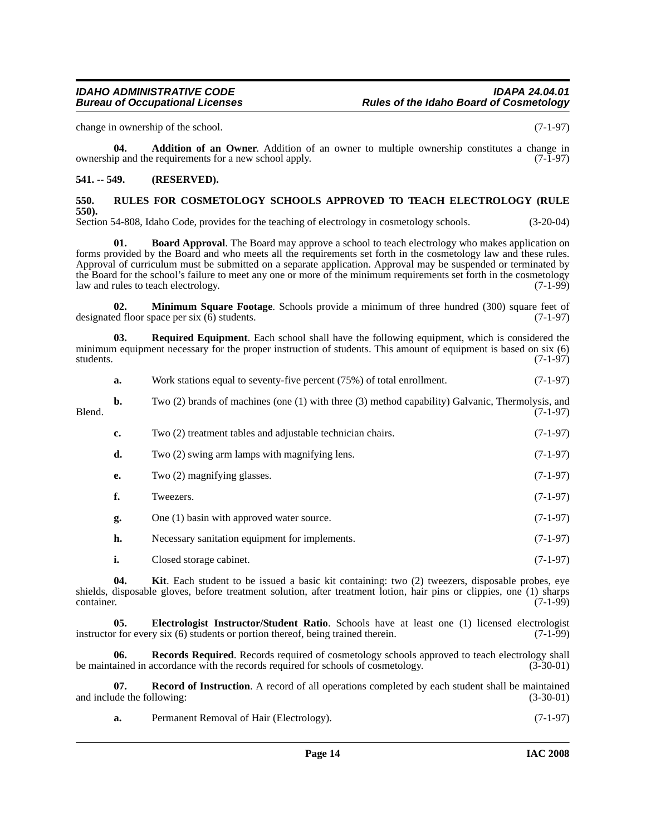change in ownership of the school. (7-1-97)

<span id="page-13-2"></span>**04. Addition of an Owner**. Addition of an owner to multiple ownership constitutes a change in ownership and the requirements for a new school apply. (7-1-97)

### <span id="page-13-0"></span>**541. -- 549. (RESERVED).**

### <span id="page-13-10"></span><span id="page-13-1"></span>**550. RULES FOR COSMETOLOGY SCHOOLS APPROVED TO TEACH ELECTROLOGY (RULE 550).**

Section 54-808, Idaho Code, provides for the teaching of electrology in cosmetology schools. (3-20-04)

<span id="page-13-3"></span>**Board Approval**. The Board may approve a school to teach electrology who makes application on forms provided by the Board and who meets all the requirements set forth in the cosmetology law and these rules. Approval of curriculum must be submitted on a separate application. Approval may be suspended or terminated by the Board for the school's failure to meet any one or more of the minimum requirements set forth in the cosmetology<br>(7-1-99) aw and rules to teach electrology. law and rules to teach electrology.

<span id="page-13-6"></span>**02. Minimum Square Footage**. Schools provide a minimum of three hundred (300) square feet of designated floor space per six (6) students. (7-1-97)

<span id="page-13-9"></span>**03. Required Equipment**. Each school shall have the following equipment, which is considered the minimum equipment necessary for the proper instruction of students. This amount of equipment is based on six (6) students. (7-1-97) students. (7-1-97)

|        | a. | Work stations equal to seventy-five percent (75%) of total enrollment.                           | $(7-1-97)$ |
|--------|----|--------------------------------------------------------------------------------------------------|------------|
| Blend. | b. | Two (2) brands of machines (one (1) with three (3) method capability) Galvanic, Thermolysis, and | $(7-1-97)$ |
|        | c. | Two (2) treatment tables and adjustable technician chairs.                                       | $(7-1-97)$ |
|        | d. | Two (2) swing arm lamps with magnifying lens.                                                    | $(7-1-97)$ |
|        | e. | Two (2) magnifying glasses.                                                                      | $(7-1-97)$ |
|        | f. | Tweezers.                                                                                        | $(7-1-97)$ |
|        | g. | One (1) basin with approved water source.                                                        | $(7-1-97)$ |
|        |    |                                                                                                  |            |

**h.** Necessary sanitation equipment for implements. (7-1-97)

<span id="page-13-5"></span><span id="page-13-4"></span>**i.** Closed storage cabinet. (7-1-97)

**04. Kit**. Each student to be issued a basic kit containing: two (2) tweezers, disposable probes, eye shields, disposable gloves, before treatment solution, after treatment lotion, hair pins or clippies, one (1) sharps container. (7-1-99)  $\frac{1}{(7-1-99)}$ 

**05. Electrologist Instructor/Student Ratio**. Schools have at least one (1) licensed electrologist instructor for every six (6) students or portion thereof, being trained therein. (7-1-99)

<span id="page-13-8"></span>**06. Records Required**. Records required of cosmetology schools approved to teach electrology shall be maintained in accordance with the records required for schools of cosmetology. (3-30-01)

**07. Record of Instruction**. A record of all operations completed by each student shall be maintained and include the following: (3-30-01) (3-30-01)

<span id="page-13-7"></span>**a.** Permanent Removal of Hair (Electrology). (7-1-97)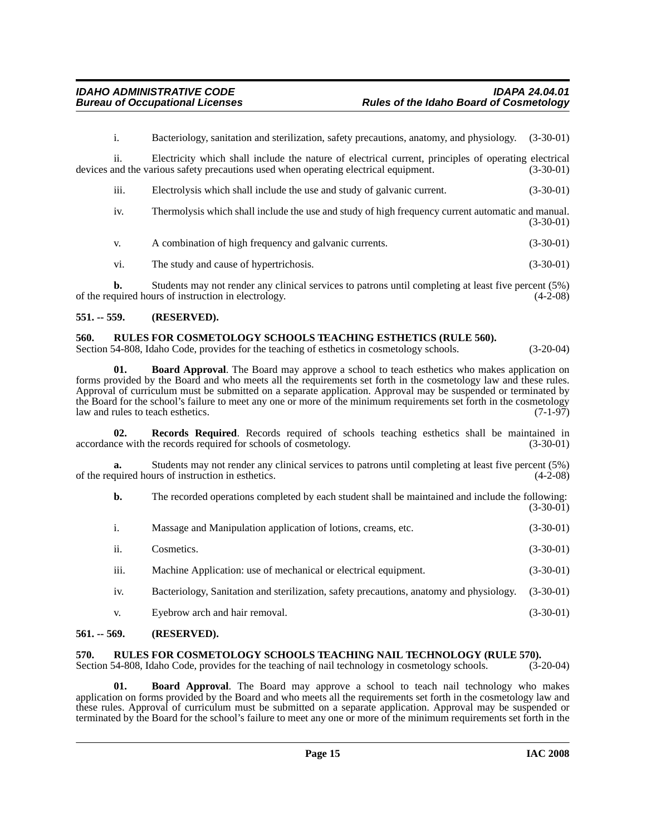i. Bacteriology, sanitation and sterilization, safety precautions, anatomy, and physiology. (3-30-01)

ii. Electricity which shall include the nature of electrical current, principles of operating electrical devices and the various safety precautions used when operating electrical equipment. (3-30-01)

| $\cdots$<br>111. | Electrolysis which shall include the use and study of galvanic current. | $(3-30-01)$ |
|------------------|-------------------------------------------------------------------------|-------------|
|                  |                                                                         |             |

| iv. | Thermolysis which shall include the use and study of high frequency current automatic and manual. |
|-----|---------------------------------------------------------------------------------------------------|
|     | $(3-30-01)$                                                                                       |

| A combination of high frequency and galvanic currents. | $(3-30-01)$ |
|--------------------------------------------------------|-------------|
|--------------------------------------------------------|-------------|

vi. The study and cause of hypertrichosis. (3-30-01)

**b.** Students may not render any clinical services to patrons until completing at least five percent (5%) quired hours of instruction in electrology. (4-2-08) of the required hours of instruction in electrology.

### <span id="page-14-0"></span>**551. -- 559. (RESERVED).**

### <span id="page-14-7"></span><span id="page-14-1"></span>**560. RULES FOR COSMETOLOGY SCHOOLS TEACHING ESTHETICS (RULE 560).**

Section 54-808, Idaho Code, provides for the teaching of esthetics in cosmetology schools. (3-20-04)

<span id="page-14-4"></span>**01. Board Approval**. The Board may approve a school to teach esthetics who makes application on forms provided by the Board and who meets all the requirements set forth in the cosmetology law and these rules. Approval of curriculum must be submitted on a separate application. Approval may be suspended or terminated by the Board for the school's failure to meet any one or more of the minimum requirements set forth in the cosmetology<br>law and rules to teach esthetics. law and rules to teach esthetics.

<span id="page-14-6"></span>**02. Records Required**. Records required of schools teaching esthetics shall be maintained in (3-30-01) (3-30-01) accordance with the records required for schools of cosmetology.

**a.** Students may not render any clinical services to patrons until completing at least five percent (5%) of the required hours of instruction in esthetics. (4-2-08)

| b.   | The recorded operations completed by each student shall be maintained and include the following: | $(3-30-01)$ |
|------|--------------------------------------------------------------------------------------------------|-------------|
| i.   | Massage and Manipulation application of lotions, creams, etc.                                    | $(3-30-01)$ |
| ii.  | Cosmetics.                                                                                       | $(3-30-01)$ |
| iii. | Machine Application: use of mechanical or electrical equipment.                                  | $(3-30-01)$ |
| iv.  | Bacteriology, Sanitation and sterilization, safety precautions, anatomy and physiology.          | $(3-30-01)$ |
| V.   | Eyebrow arch and hair removal.                                                                   | $(3-30-01)$ |

### <span id="page-14-2"></span>**561. -- 569. (RESERVED).**

## <span id="page-14-8"></span><span id="page-14-3"></span>**570.** RULES FOR COSMETOLOGY SCHOOLS TEACHING NAIL TECHNOLOGY (RULE 570). Section 54-808, Idaho Code, provides for the teaching of nail technology in cosmetology schools. (3-20-04)

Section 54-808, Idaho Code, provides for the teaching of nail technology in cosmetology schools.

<span id="page-14-5"></span>**01. Board Approval**. The Board may approve a school to teach nail technology who makes application on forms provided by the Board and who meets all the requirements set forth in the cosmetology law and these rules. Approval of curriculum must be submitted on a separate application. Approval may be suspended or terminated by the Board for the school's failure to meet any one or more of the minimum requirements set forth in the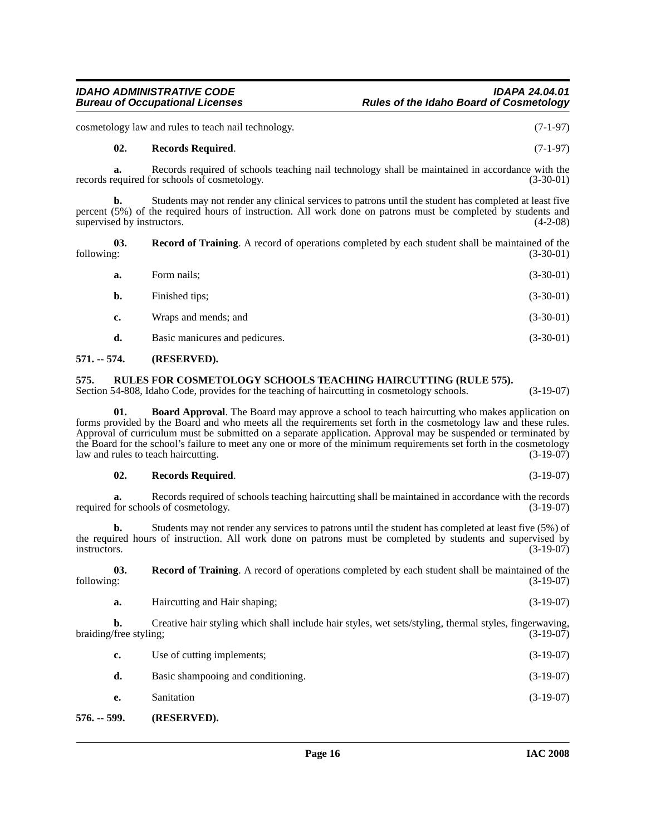cosmetology law and rules to teach nail technology. (7-1-97)

### <span id="page-15-4"></span>**02. Records Required**. (7-1-97)

**a.** Records required of schools teaching nail technology shall be maintained in accordance with the records required for schools of cosmetology. (3-30-01)

**b.** Students may not render any clinical services to patrons until the student has completed at least five percent (5%) of the required hours of instruction. All work done on patrons must be completed by students and supervised by instructors.  $(4-2-08)$ 

**03.** Record of Training. A record of operations completed by each student shall be maintained of the following: (3-30-01) following: (3-30-01)

<span id="page-15-3"></span>

| Form nails;                    | $(3-30-01)$ |
|--------------------------------|-------------|
| Finished tips;                 | $(3-30-01)$ |
| Wraps and mends; and           | $(3-30-01)$ |
| Basic manicures and pedicures. | $(3-30-01)$ |
|                                |             |

### <span id="page-15-0"></span>**571. -- 574. (RESERVED).**

### <span id="page-15-1"></span>**575. RULES FOR COSMETOLOGY SCHOOLS TEACHING HAIRCUTTING (RULE 575).**

Section 54-808, Idaho Code, provides for the teaching of haircutting in cosmetology schools. (3-19-07)

**01. Board Approval**. The Board may approve a school to teach haircutting who makes application on forms provided by the Board and who meets all the requirements set forth in the cosmetology law and these rules. Approval of curriculum must be submitted on a separate application. Approval may be suspended or terminated by the Board for the school's failure to meet any one or more of the minimum requirements set forth in the cosmetology<br>law and rules to teach haircutting. (3-19-07) law and rules to teach haircutting.

### **02. Records Required**. (3-19-07)

**a.** Records required of schools teaching haircutting shall be maintained in accordance with the records for schools of cosmetology. (3-19-07) required for schools of cosmetology.

**b.** Students may not render any services to patrons until the student has completed at least five (5%) of the required hours of instruction. All work done on patrons must be completed by students and supervised by instructors. (3-19-07) instructors.  $(3-19-07)$ 

**03.** Record of Training. A record of operations completed by each student shall be maintained of the following:  $(3-19-07)$ following: (3-19-07)

**a.** Haircutting and Hair shaping; (3-19-07)

**b.** Creative hair styling which shall include hair styles, wet sets/styling, thermal styles, fingerwaving, (free styling; (3-19-07) braiding/free styling;

| с. | Use of cutting implements;         | $(3-19-07)$ |
|----|------------------------------------|-------------|
| d. | Basic shampooing and conditioning. | $(3-19-07)$ |
| е. | Sanitation                         | $(3-19-07)$ |

### <span id="page-15-2"></span>**576. -- 599. (RESERVED).**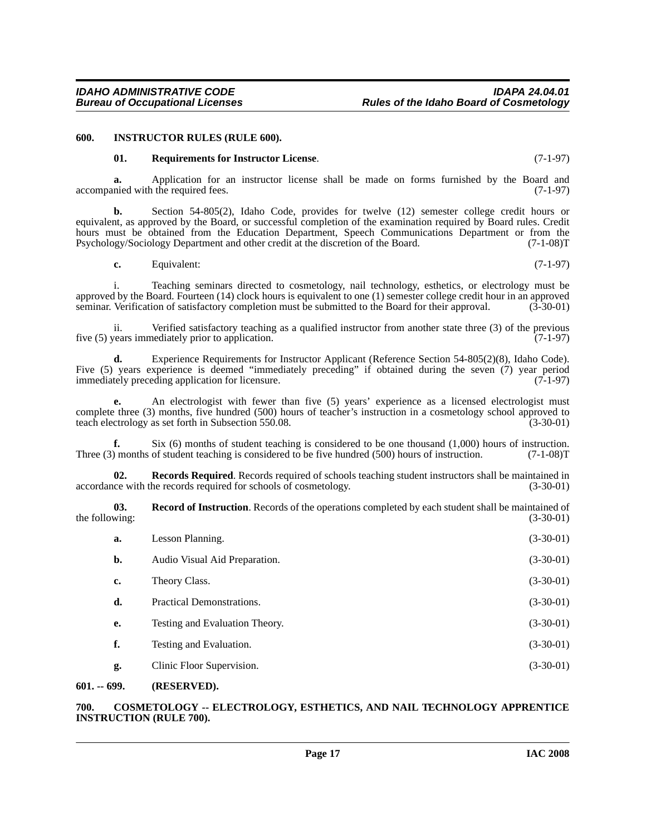### <span id="page-16-0"></span>**600. INSTRUCTOR RULES (RULE 600).**

### <span id="page-16-7"></span><span id="page-16-4"></span>**01. Requirements for Instructor License**. (7-1-97)

**a.** Application for an instructor license shall be made on forms furnished by the Board and nied with the required fees. (7-1-97) accompanied with the required fees.

**b.** Section 54-805(2), Idaho Code, provides for twelve (12) semester college credit hours or equivalent, as approved by the Board, or successful completion of the examination required by Board rules. Credit hours must be obtained from the Education Department, Speech Communications Department or from the Psychology/Sociology Department and other credit at the discretion of the Board. (7-1-08)T

**c.** Equivalent: (7-1-97)

i. Teaching seminars directed to cosmetology, nail technology, esthetics, or electrology must be approved by the Board. Fourteen (14) clock hours is equivalent to one (1) semester college credit hour in an approved seminar. Verification of satisfactory completion must be submitted to the Board for their approval. (3-30-01)

ii. Verified satisfactory teaching as a qualified instructor from another state three (3) of the previous five (5) years immediately prior to application. (7-1-97)

**d.** Experience Requirements for Instructor Applicant (Reference Section 54-805(2)(8), Idaho Code). Five (5) years experience is deemed "immediately preceding" if obtained during the seven (7) year period immediately preceding application for licensure. (7-1-97) immediately preceding application for licensure.

**e.** An electrologist with fewer than five (5) years' experience as a licensed electrologist must complete three (3) months, five hundred (500) hours of teacher's instruction in a cosmetology school approved to teach electrology as set forth in Subsection 550.08. (3-30-01)

**f.** Six (6) months of student teaching is considered to be one thousand (1,000) hours of instruction. Three (3) months of student teaching is considered to be five hundred (500) hours of instruction. (7-1-08)T

<span id="page-16-6"></span>**02.** Records Required. Records required of schools teaching student instructors shall be maintained in ce with the records required for schools of cosmetology. (3-30-01) accordance with the records required for schools of cosmetology.

**03. Record of Instruction**. Records of the operations completed by each student shall be maintained of the following:  $(3-30-01)$ 

<span id="page-16-5"></span>

| a.             | Lesson Planning.               | $(3-30-01)$ |
|----------------|--------------------------------|-------------|
| $\mathbf{b}$ . | Audio Visual Aid Preparation.  | $(3-30-01)$ |
| c.             | Theory Class.                  | $(3-30-01)$ |
| d.             | Practical Demonstrations.      | $(3-30-01)$ |
| e.             | Testing and Evaluation Theory. | $(3-30-01)$ |
| f.             | Testing and Evaluation.        | $(3-30-01)$ |
| g.             | Clinic Floor Supervision.      | $(3-30-01)$ |

### <span id="page-16-1"></span>**601. -- 699. (RESERVED).**

### <span id="page-16-3"></span><span id="page-16-2"></span>**700. COSMETOLOGY -- ELECTROLOGY, ESTHETICS, AND NAIL TECHNOLOGY APPRENTICE INSTRUCTION (RULE 700).**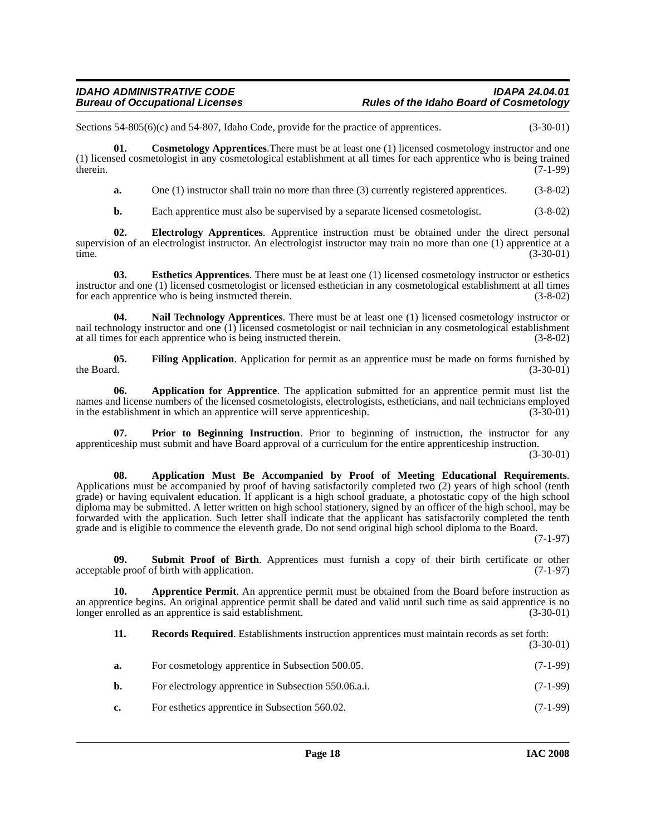Sections 54-805(6)(c) and 54-807, Idaho Code, provide for the practice of apprentices. (3-30-01)

**01. Cosmetology Apprentices**.There must be at least one (1) licensed cosmetology instructor and one (1) licensed cosmetologist in any cosmetological establishment at all times for each apprentice who is being trained therein.  $(7-1-99)$ 

<span id="page-17-3"></span>**a.** One (1) instructor shall train no more than three (3) currently registered apprentices. (3-8-02)

<span id="page-17-5"></span><span id="page-17-4"></span>**b.** Each apprentice must also be supervised by a separate licensed cosmetologist. (3-8-02)

**02. Electrology Apprentices**. Apprentice instruction must be obtained under the direct personal supervision of an electrologist instructor. An electrologist instructor may train no more than one (1) apprentice at a time. time. (3-30-01)

**03. Esthetics Apprentices**. There must be at least one (1) licensed cosmetology instructor or esthetics instructor and one (1) licensed cosmetologist or licensed esthetician in any cosmetological establishment at all times<br>for each apprentice who is being instructed therein. (3-8-02) for each apprentice who is being instructed therein.

<span id="page-17-7"></span>**04. Nail Technology Apprentices**. There must be at least one (1) licensed cosmetology instructor or nail technology instructor and one (1) licensed cosmetologist or nail technician in any cosmetological establishment at all times for each apprentice who is being instructed therein. (3-8-02)

<span id="page-17-6"></span>**05. Filing Application**. Application for permit as an apprentice must be made on forms furnished by the Board.  $(3-30-01)$ 

<span id="page-17-0"></span>**06. Application for Apprentice**. The application submitted for an apprentice permit must list the names and license numbers of the licensed cosmetologists, electrologists, estheticians, and nail technicians employed<br>in the establishment in which an apprentice will serve apprenticeship. (3-30-01) in the establishment in which an apprentice will serve apprenticeship.

<span id="page-17-8"></span>**07. Prior to Beginning Instruction**. Prior to beginning of instruction, the instructor for any apprenticeship must submit and have Board approval of a curriculum for the entire apprenticeship instruction.

(3-30-01)

<span id="page-17-1"></span>**08. Application Must Be Accompanied by Proof of Meeting Educational Requirements**. Applications must be accompanied by proof of having satisfactorily completed two (2) years of high school (tenth grade) or having equivalent education. If applicant is a high school graduate, a photostatic copy of the high school diploma may be submitted. A letter written on high school stationery, signed by an officer of the high school, may be forwarded with the application. Such letter shall indicate that the applicant has satisfactorily completed the tenth grade and is eligible to commence the eleventh grade. Do not send original high school diploma to the Board.

(7-1-97)

<span id="page-17-10"></span>**09. Submit Proof of Birth**. Apprentices must furnish a copy of their birth certificate or other acceptable proof of birth with application. (7-1-97)

**10. Apprentice Permit**. An apprentice permit must be obtained from the Board before instruction as an apprentice begins. An original apprentice permit shall be dated and valid until such time as said apprentice is no longer enrolled as an apprentice is said establishment. (3-30-01)

<span id="page-17-9"></span><span id="page-17-2"></span>**11. Records Required**. Establishments instruction apprentices must maintain records as set forth: (3-30-01)

| а. | For cosmetology apprentice in Subsection 500.05.     | $(7-1-99)$                  |
|----|------------------------------------------------------|-----------------------------|
| b. | For electrology apprentice in Subsection 550.06.a.i. | $(7-1-99)$                  |
|    |                                                      | $\sim$ $\sim$ $\sim$ $\sim$ |

**c.** For esthetics apprentice in Subsection 560.02. (7-1-99)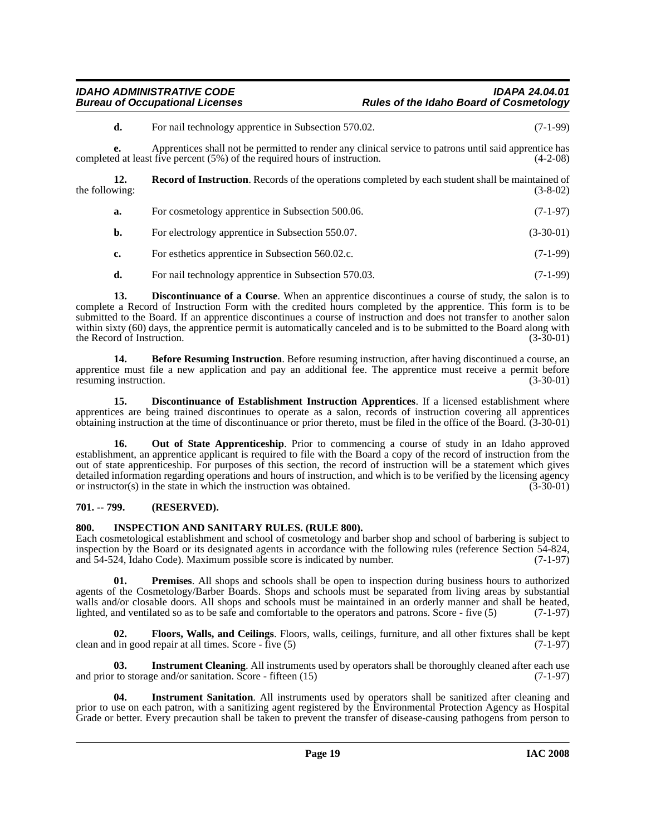### *IDAHO ADMINISTRATIVE CODE IDAPA 24.04.01* **Rules of the Idaho Board of Cosmetology**

**d.** For nail technology apprentice in Subsection 570.02. (7-1-99)

**e.** Apprentices shall not be permitted to render any clinical service to patrons until said apprentice has completed at least five percent (5%) of the required hours of instruction. (4-2-08)

**12. Record of Instruction**. Records of the operations completed by each student shall be maintained of wing: (3-8-02) the following:

<span id="page-18-11"></span>

| а. | For cosmetology apprentice in Subsection 500.06. | $(7-1-97)$ |
|----|--------------------------------------------------|------------|
|----|--------------------------------------------------|------------|

- **b.** For electrology apprentice in Subsection 550.07. (3-30-01)
- **c.** For esthetics apprentice in Subsection 560.02.c. (7-1-99)
- <span id="page-18-3"></span>**d.** For nail technology apprentice in Subsection 570.03. (7-1-99)

**13. Discontinuance of a Course**. When an apprentice discontinues a course of study, the salon is to complete a Record of Instruction Form with the credited hours completed by the apprentice. This form is to be submitted to the Board. If an apprentice discontinues a course of instruction and does not transfer to another salon within sixty (60) days, the apprentice permit is automatically canceled and is to be submitted to the Board along with the Record of Instruction. (3-30-01) (3-30-01)

<span id="page-18-2"></span>**14. Before Resuming Instruction**. Before resuming instruction, after having discontinued a course, an apprentice must file a new application and pay an additional fee. The apprentice must receive a permit before resuming instruction. (3-30-01)

<span id="page-18-4"></span>**15. Discontinuance of Establishment Instruction Apprentices**. If a licensed establishment where apprentices are being trained discontinues to operate as a salon, records of instruction covering all apprentices obtaining instruction at the time of discontinuance or prior thereto, must be filed in the office of the Board. (3-30-01)

<span id="page-18-9"></span>**16.** Out of State Apprenticeship. Prior to commencing a course of study in an Idaho approved establishment, an apprentice applicant is required to file with the Board a copy of the record of instruction from the out of state apprenticeship. For purposes of this section, the record of instruction will be a statement which gives detailed information regarding operations and hours of instruction, and which is to be verified by the licensing agency<br>or instructor(s) in the state in which the instruction was obtained. or instructor $(s)$  in the state in which the instruction was obtained.

### <span id="page-18-0"></span>**701. -- 799. (RESERVED).**

### <span id="page-18-6"></span><span id="page-18-1"></span>**800. INSPECTION AND SANITARY RULES. (RULE 800).**

Each cosmetological establishment and school of cosmetology and barber shop and school of barbering is subject to inspection by the Board or its designated agents in accordance with the following rules (reference Section 54-824, and 54-524, Idaho Code). Maximum possible score is indicated by number. (7-1-97)

<span id="page-18-10"></span>**01. Premises**. All shops and schools shall be open to inspection during business hours to authorized agents of the Cosmetology/Barber Boards. Shops and schools must be separated from living areas by substantial walls and/or closable doors. All shops and schools must be maintained in an orderly manner and shall be heated, lighted, and ventilated so as to be safe and comfortable to the operators and patrons. Score - five (5) (7-1-97)

<span id="page-18-5"></span>**02.** Floors, Walls, and Ceilings. Floors, walls, ceilings, furniture, and all other fixtures shall be kept d in good repair at all times. Score - five (5) clean and in good repair at all times. Score -  $\tilde{f}$ ive  $(5)$ 

<span id="page-18-7"></span>**03.** Instrument Cleaning. All instruments used by operators shall be thoroughly cleaned after each use and prior to storage and/or sanitation. Score - fifteen  $(15)$  (7-1-97)

<span id="page-18-8"></span>**04. Instrument Sanitation**. All instruments used by operators shall be sanitized after cleaning and prior to use on each patron, with a sanitizing agent registered by the Environmental Protection Agency as Hospital Grade or better. Every precaution shall be taken to prevent the transfer of disease-causing pathogens from person to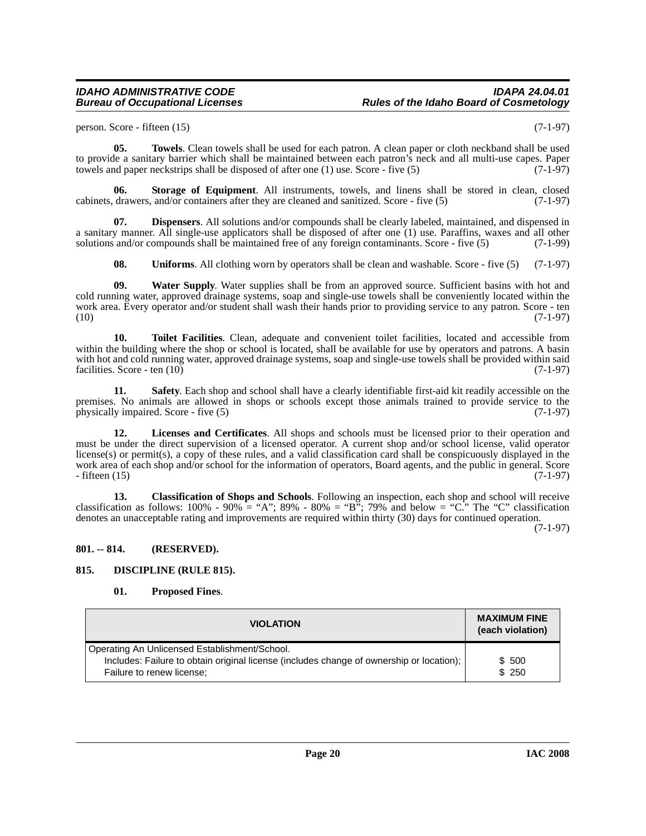### *IDAHO ADMINISTRATIVE CODE IDAPA 24.04.01* **Rules of the Idaho Board of Cosmetology**

<span id="page-19-10"></span>person. Score - fifteen  $(15)$  (7-1-97)

**05. Towels**. Clean towels shall be used for each patron. A clean paper or cloth neckband shall be used to provide a sanitary barrier which shall be maintained between each patron's neck and all multi-use capes. Paper towels and paper neckstrips shall be disposed of after one  $(1)$  use. Score - five  $(5)$  (7-1-97)

<span id="page-19-8"></span>**06.** Storage of Equipment. All instruments, towels, and linens shall be stored in clean, closed drawers, and/or containers after they are cleaned and sanitized. Score - five (5) (7-1-97) cabinets, drawers, and/or containers after they are cleaned and sanitized. Score - five (5)

**Dispensers**. All solutions and/or compounds shall be clearly labeled, maintained, and dispensed in a sanitary manner. All single-use applicators shall be disposed of after one (1) use. Paraffins, waxes and all other solutions and/or compounds shall be maintained free of any foreign contaminants. Score - five (5) (7-1-99)

<span id="page-19-12"></span><span id="page-19-11"></span><span id="page-19-9"></span><span id="page-19-4"></span>**08. Uniforms**. All clothing worn by operators shall be clean and washable. Score - five (5) (7-1-97)

**09. Water Supply**. Water supplies shall be from an approved source. Sufficient basins with hot and cold running water, approved drainage systems, soap and single-use towels shall be conveniently located within the work area. Every operator and/or student shall wash their hands prior to providing service to any patron. Score - ten  $(10)$   $(7-1-97)$ 

**10. Toilet Facilities**. Clean, adequate and convenient toilet facilities, located and accessible from within the building where the shop or school is located, shall be available for use by operators and patrons. A basin with hot and cold running water, approved drainage systems, soap and single-use towels shall be provided within said facilities. Score - ten  $(10)$  (7-1-97)

<span id="page-19-7"></span>**11. Safety**. Each shop and school shall have a clearly identifiable first-aid kit readily accessible on the premises. No animals are allowed in shops or schools except those animals trained to provide service to the physically impaired. Score - five (5) (7-1-97)

<span id="page-19-5"></span>**12. Licenses and Certificates**. All shops and schools must be licensed prior to their operation and must be under the direct supervision of a licensed operator. A current shop and/or school license, valid operator license(s) or permit(s), a copy of these rules, and a valid classification card shall be conspicuously displayed in the work area of each shop and/or school for the information of operators, Board agents, and the public in general. Score - fifteen (15) (7-1-97) - fifteen (15) (7-1-97)

<span id="page-19-2"></span>**13. Classification of Shops and Schools**. Following an inspection, each shop and school will receive classification as follows: 100% - 90% = "A"; 89% - 80% = "B"; 79% and below = "C." The "C" classification denotes an unacceptable rating and improvements are required within thirty (30) days for continued operation.

(7-1-97)

### <span id="page-19-0"></span>**801. -- 814. (RESERVED).**

### <span id="page-19-1"></span>**815. DISCIPLINE (RULE 815).**

### <span id="page-19-6"></span><span id="page-19-3"></span>**01. Proposed Fines**.

| <b>VIOLATION</b>                                                                         | <b>MAXIMUM FINE</b><br>(each violation) |
|------------------------------------------------------------------------------------------|-----------------------------------------|
| Operating An Unlicensed Establishment/School.                                            |                                         |
| Includes: Failure to obtain original license (includes change of ownership or location); | \$ 500                                  |
| Failure to renew license;                                                                | \$250                                   |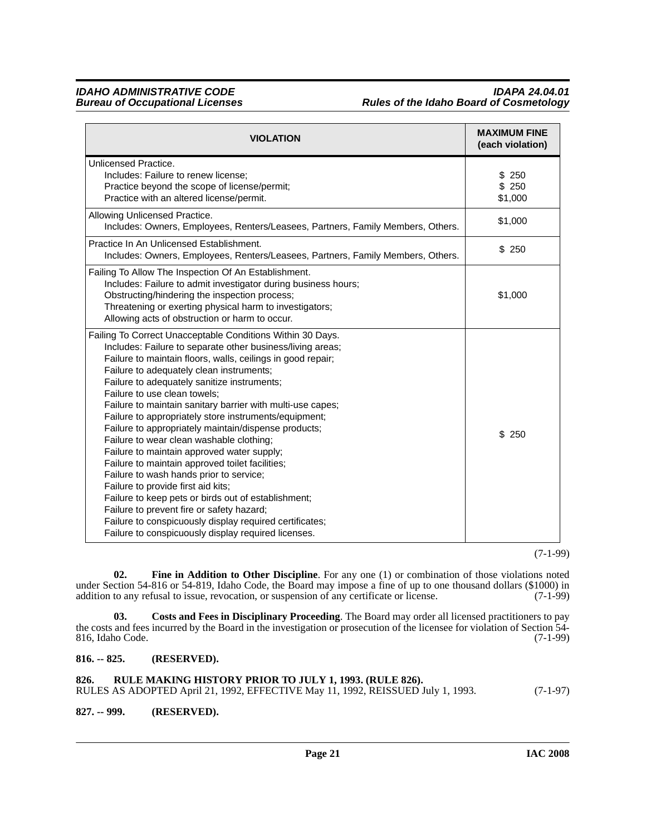*IDAHO ADMINISTRATIVE CODE IDAPA 24.04.01* **Rules of the Idaho Board of Cosmetology** 

| <b>VIOLATION</b>                                                                                                                                                                                                                                                                                                                                                                                                                                                                                                                                                                                                                                                                                                                                                                                                                                                                                                                                      | <b>MAXIMUM FINE</b><br>(each violation) |
|-------------------------------------------------------------------------------------------------------------------------------------------------------------------------------------------------------------------------------------------------------------------------------------------------------------------------------------------------------------------------------------------------------------------------------------------------------------------------------------------------------------------------------------------------------------------------------------------------------------------------------------------------------------------------------------------------------------------------------------------------------------------------------------------------------------------------------------------------------------------------------------------------------------------------------------------------------|-----------------------------------------|
| Unlicensed Practice.<br>Includes: Failure to renew license;<br>Practice beyond the scope of license/permit;<br>Practice with an altered license/permit.                                                                                                                                                                                                                                                                                                                                                                                                                                                                                                                                                                                                                                                                                                                                                                                               | \$250<br>\$250<br>\$1,000               |
| Allowing Unlicensed Practice.<br>Includes: Owners, Employees, Renters/Leasees, Partners, Family Members, Others.                                                                                                                                                                                                                                                                                                                                                                                                                                                                                                                                                                                                                                                                                                                                                                                                                                      | \$1,000                                 |
| Practice In An Unlicensed Establishment.<br>Includes: Owners, Employees, Renters/Leasees, Partners, Family Members, Others.                                                                                                                                                                                                                                                                                                                                                                                                                                                                                                                                                                                                                                                                                                                                                                                                                           | \$250                                   |
| Failing To Allow The Inspection Of An Establishment.<br>Includes: Failure to admit investigator during business hours;<br>Obstructing/hindering the inspection process;<br>Threatening or exerting physical harm to investigators;<br>Allowing acts of obstruction or harm to occur.                                                                                                                                                                                                                                                                                                                                                                                                                                                                                                                                                                                                                                                                  | \$1,000                                 |
| Failing To Correct Unacceptable Conditions Within 30 Days.<br>Includes: Failure to separate other business/living areas;<br>Failure to maintain floors, walls, ceilings in good repair;<br>Failure to adequately clean instruments;<br>Failure to adequately sanitize instruments;<br>Failure to use clean towels:<br>Failure to maintain sanitary barrier with multi-use capes;<br>Failure to appropriately store instruments/equipment;<br>Failure to appropriately maintain/dispense products;<br>Failure to wear clean washable clothing;<br>Failure to maintain approved water supply;<br>Failure to maintain approved toilet facilities;<br>Failure to wash hands prior to service;<br>Failure to provide first aid kits;<br>Failure to keep pets or birds out of establishment;<br>Failure to prevent fire or safety hazard;<br>Failure to conspicuously display required certificates;<br>Failure to conspicuously display required licenses. | \$250                                   |

(7-1-99)

<span id="page-20-4"></span>**02. Fine in Addition to Other Discipline**. For any one (1) or combination of those violations noted under Section 54-816 or 54-819, Idaho Code, the Board may impose a fine of up to one thousand dollars (\$1000) in addition to any refusal to issue, revocation, or suspension of any certificate or license. (7-1-99) addition to any refusal to issue, revocation, or suspension of any certificate or license.

<span id="page-20-3"></span>**03. Costs and Fees in Disciplinary Proceeding**. The Board may order all licensed practitioners to pay the costs and fees incurred by the Board in the investigation or prosecution of the licensee for violation of Section 54-<br>816, Idaho Code. (7-1-99) 816, Idaho Code.

### <span id="page-20-0"></span>**816. -- 825. (RESERVED).**

<span id="page-20-1"></span>**826. RULE MAKING HISTORY PRIOR TO JULY 1, 1993. (RULE 826).** RULES AS ADOPTED April 21, 1992, EFFECTIVE May 11, 1992, REISSUED July 1, 1993. (7-1-97)

### <span id="page-20-2"></span>**827. -- 999. (RESERVED).**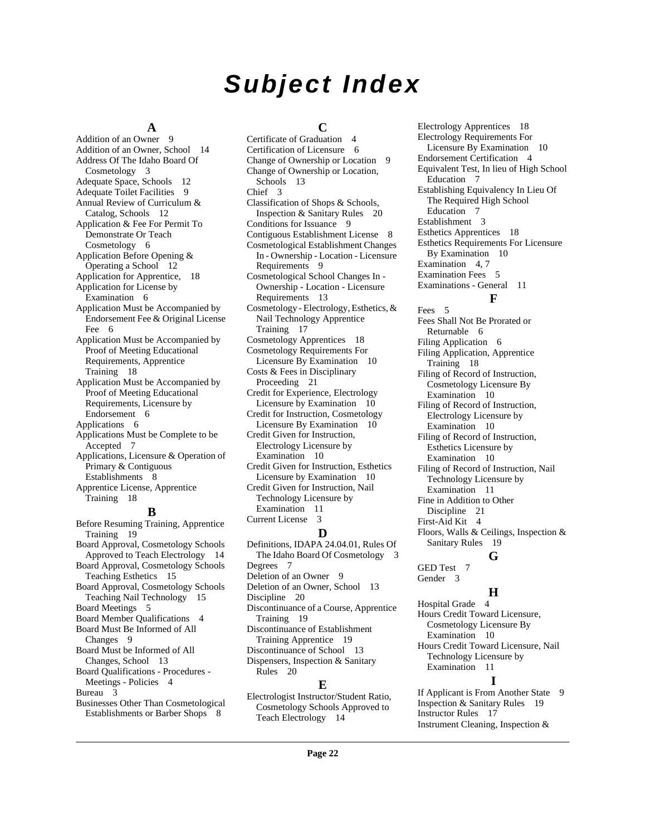## *Subject Index*

### **A**

[Addition of an Owner](#page-8-3) 9 [Addition of an Owner, School](#page-13-2) 14 [Address Of The Idaho Board Of](#page-2-10)  Cosmetology 3 [Adequate Space, Schools](#page-11-0) 12 [Adequate Toilet Facilities](#page-8-4) 9 [Annual Review of Curriculum &](#page-11-1)  Catalog, Schools 12 [Application & Fee For Permit To](#page-5-6)  Demonstrate Or Teach Cosmetology 6 [Application Before Opening &](#page-11-2)  Operating a School 12 [Application for Apprentice,](#page-17-0) 18 [Application for License by](#page-5-7)  Examination 6 [Application Must be Accompanied by](#page-5-8)  Endorsement Fee & Original License Fee 6 [Application Must be Accompanied by](#page-17-1)  Proof of Meeting Educational Requirements, Apprentice Training 18 [Application Must be Accompanied by](#page-5-9)  Proof of Meeting Educational Requirements, Licensure by Endorsement 6 [Applications](#page-5-10) 6 [Applications Must be Complete to be](#page-6-3)  Accepted 7 [Applications, Licensure & Operation of](#page-7-1)  Primary & Contiguous Establishments 8 [Apprentice License, Apprentice](#page-17-2)  Training 18 **B** [Before Resuming Training, Apprentice](#page-18-2)  Training 19 [Board Approval, Cosmetology Schools](#page-13-3) 

Approved to Teach Electrology 14 [Board Approval, Cosmetology Schools](#page-14-4)  Teaching Esthetics 15 [Board Approval, Cosmetology Schools](#page-14-5)  Teaching Nail Technology 15 [Board Meetings](#page-4-2) 5 [Board Member Qualifications](#page-3-2) 4 [Board Must Be Informed of All](#page-8-5)  Changes 9 [Board Must be Informed of All](#page-12-2)  Changes, School 13 [Board Qualifications - Procedures -](#page-3-3)  Meetings - Policies 4 [Bureau](#page-2-11) 3

[Businesses Other Than Cosmetological](#page-7-2)  Establishments or Barber Shops 8

### **C**

[Certificate of Graduation](#page-3-4) 4 [Certification of Licensure](#page-5-11) 6 [Change of Ownership or Location](#page-8-6) 9 [Change of Ownership or Location,](#page-12-3)  Schools 13 [Chief](#page-2-12) 3 [Classification of Shops & Schools,](#page-19-2)  Inspection & Sanitary Rules 20 [Conditions for Issuance](#page-8-7) 9 [Contiguous Establishment License](#page-7-3) 8 [Cosmetological Establishment Changes](#page-8-8)  In - Ownership - Location - Licensure Requirements 9 [Cosmetological School Changes In -](#page-12-4)  Ownership - Location - Licensure Requirements 13 [Cosmetology - Electrology, Esthetics, &](#page-16-3)  Nail Technology Apprentice Training 17 [Cosmetology Apprentices](#page-17-3) 18 [Cosmetology Requirements For](#page-9-5)  Licensure By Examination 10 [Costs & Fees in Disciplinary](#page-20-3)  Proceeding 21 [Credit for Experience, Electrology](#page-9-6)  Licensure by Examination 10 [Credit for Instruction, Cosmetology](#page-9-7)  Licensure By Examination 10 [Credit Given for Instruction,](#page-9-8)  Electrology Licensure by Examination 10 [Credit Given for Instruction, Esthetics](#page-9-9)  Licensure by Examination 10 [Credit Given for Instruction, Nail](#page-10-8)  Technology Licensure by Examination 11 [Current License](#page-2-13) 3 **D** [Definitions, IDAPA 24.04.01, Rules Of](#page-2-14)  [Degrees](#page-6-4) 7

The Idaho Board Of Cosmetology 3 [Deletion of an Owner](#page-8-9) 9 [Deletion of an Owner, School](#page-12-5) 13 [Discipline](#page-19-3) 20 [Discontinuance of a Course, Apprentice](#page-18-3)  Training 19 [Discontinuance of Establishment](#page-18-4)  Training Apprentice 19 [Discontinuance of School](#page-12-6) 13 [Dispensers, Inspection & Sanitary](#page-19-4)  Rules 20

### **E**

[Electrologist Instructor/Student Ratio,](#page-13-4)  Cosmetology Schools Approved to Teach Electrology 14

[Electrology Apprentices](#page-17-4) 18 [Electrology Requirements For](#page-9-10)  Licensure By Examination 10 [Endorsement Certification](#page-3-5) 4 [Equivalent Test, In lieu of High School](#page-6-5)  Education 7 [Establishing Equivalency In Lieu Of](#page-6-6)  The Required High School Education 7 [Establishment](#page-2-15) 3 [Esthetics Apprentices](#page-17-5) 18 [Esthetics Requirements For Licensure](#page-9-11)  By Examination 10 [Examination](#page-3-6) 4, [7](#page-6-7) [Examination Fees](#page-4-3) 5 [Examinations - General](#page-10-9) 11 **F** [Fees](#page-4-4) 5 [Fees Shall Not Be Prorated or](#page-5-12)  Returnable 6 [Filing Application](#page-5-13) 6 [Filing Application, Apprentice](#page-17-6)  Training 18 [Filing of Record of Instruction,](#page-9-12)  Cosmetology Licensure By

[Filing of Record of Instruction,](#page-9-13)  Electrology Licensure by Examination 10 [Filing of Record of Instruction,](#page-9-14)  Esthetics Licensure by Examination 10 [Filing of Record of Instruction, Nail](#page-10-10)  Technology Licensure by Examination 11 [Fine in Addition to Other](#page-20-4)  Discipline 21 [First-Aid Kit](#page-3-7) 4 [Floors, Walls & Ceilings, Inspection &](#page-18-5)  Sanitary Rules 19 **G**

Examination 10

### [GED Test](#page-6-8) 7

[Gender](#page-2-16) 3

### **H**

[Hospital Grade](#page-3-8) 4 [Hours Credit Toward Licensure,](#page-9-15)  Cosmetology Licensure By Examination 10 [Hours Credit Toward Licensure, Nail](#page-10-11)  Technology Licensure by Examination 11 **I**

[If Applicant is From Another State](#page-8-10) 9 [Inspection & Sanitary Rules](#page-18-6) 19 [Instructor Rules](#page-16-4) 17 [Instrument Cleaning, Inspection &](#page-18-7)